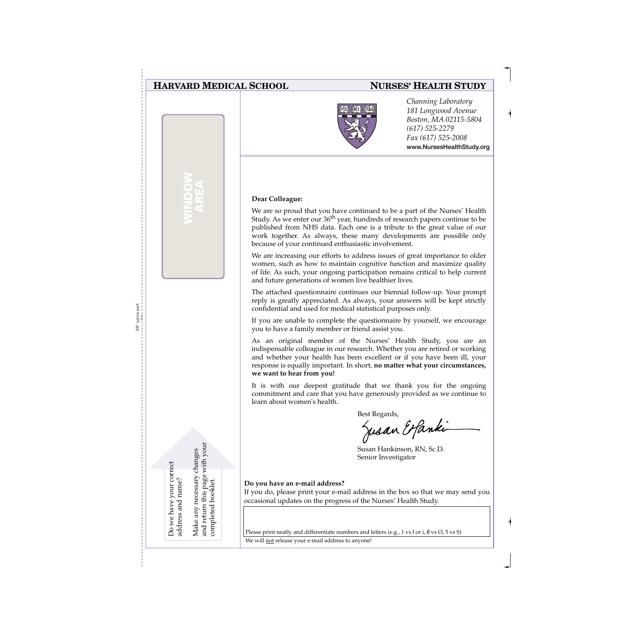# **HARVARD MEDICAL SCHOOL**

**WINDOW AREA**

## **NURSES' HEALTH STUDY**



*Channing Laboratory 181 Longwood Avenue Boston, MA 02115-5804 (617) 525-2279 Fax (617) 525-2008* **www.NursesHealthStudy.org** 

#### **Dear Colleague:**

We are so proud that you have continued to be a part of the Nurses' Health Study. As we enter our 36<sup>th</sup> year, hundreds of research papers continue to be published from NHS data. Each one is a tribute to the great value of our work together. As always, these many developments are possible only because of your continued enthusiastic involvement.

We are increasing our efforts to address issues of great importance to older women, such as how to maintain cognitive function and maximize quality of life. As such, your ongoing participation remains critical to help current and future generations of women live healthier lives.

The attached questionnaire continues our biennial follow-up. Your prompt reply is greatly appreciated. As always, your answers will be kept strictly confidential and used for medical statistical purposes only.

If you are unable to complete the questionnaire by yourself, we encourage you to have a family member or friend assist you.

As an original member of the Nurses' Health Study, you are an indispensable colleague in our research. Whether you are retired or working and whether your health has been excellent or if you have been ill, your response is equally important. In short, **no matter what your circumstances, we want to hear from you!**

It is with our deepest gratitude that we thank you for the ongoing commitment and care that you have generously provided as we continue to learn about women's health.

Best Regards,<br>Jusan Etfanki

Susan Hankinson, RN, Sc.D. Senior Investigator

#### **Do you have an e-mail address?**

If you do, please print your e-mail address in the box so that we may send you occasional updates on the progress of the Nurses' Health Study.

Please print neatly and differentiate numbers and letters (e.g., 1 vs l or i,  $\emptyset$  vs O, 5 vs S)

We will not release your e-mail address to anyone!

Do we have your correct Do we have your correct address and name? address and name? Make any necessary changes and return this page with your

and return this page with your Make any necessary changes

completed booklet.

completed booklet.

3/8" spine perfspine per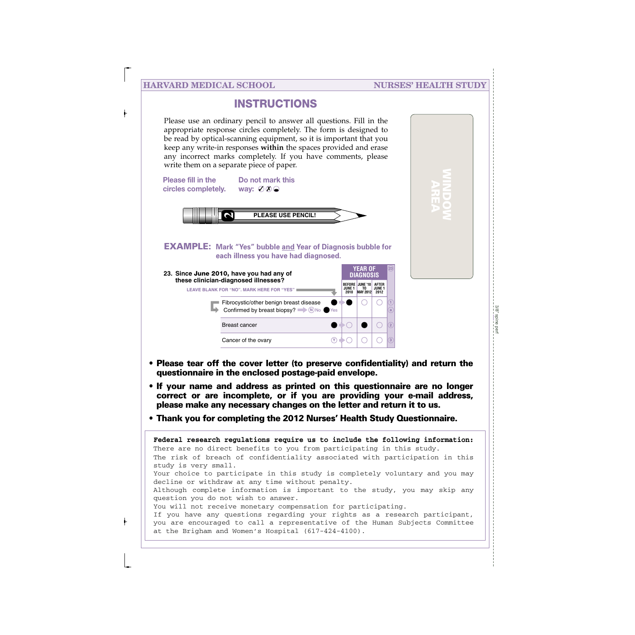## **HARVARD MEDICAL SCHOOL NURSES' HEALTH STUDY**

**WINDOW AREA**

# **INSTRUCTIONS**

Please use an ordinary pencil to answer all questions. Fill in the appropriate response circles completely. The form is designed to be read by optical-scanning equipment, so it is important that you keep any write-in responses **within** the spaces provided and erase any incorrect marks completely. If you have comments, please write them on a separate piece of paper.



- **Please tear off the cover letter (to preserve confidentiality) and return the questionnaire in the enclosed postage-paid envelope.**
- **If your name and address as printed on this questionnaire are no longer correct or are incomplete, or if you are providing your e-mail address, please make any necessary changes on the letter and return it to us.**
- **Thank you for completing the 2012 Nurses' Health Study Questionnaire.**

The risk of breach of confidentiality associated with participation in this study is very small. Your choice to participate in this study is completely voluntary and you may decline or withdraw at any time without penalty. Although complete information is important to the study, you may skip any question you do not wish to answer. You will not receive monetary compensation for participating. If you have any questions regarding your rights as a research participant, you are encouraged to call a representative of the Human Subjects Committee at the Brigham and Women's Hospital (617-424-4100). **Federal research regulations require us to include the following information:** There are no direct benefits to you from participating in this study.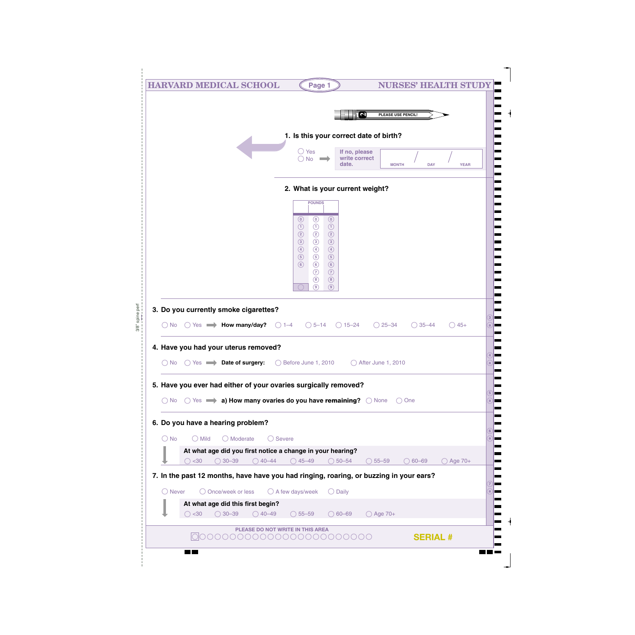|                  |                 | <b>HARVARD MEDICAL SCHOOL</b>                                                                          | Page 1                                                                                                                                                                                                                                                                                                                                          |                                         |                                      | <b>NURSES' HEALTH STUDY</b> |
|------------------|-----------------|--------------------------------------------------------------------------------------------------------|-------------------------------------------------------------------------------------------------------------------------------------------------------------------------------------------------------------------------------------------------------------------------------------------------------------------------------------------------|-----------------------------------------|--------------------------------------|-----------------------------|
|                  |                 |                                                                                                        |                                                                                                                                                                                                                                                                                                                                                 |                                         |                                      |                             |
|                  |                 |                                                                                                        |                                                                                                                                                                                                                                                                                                                                                 | N                                       | PLEASE USE PENCIL!                   |                             |
|                  |                 |                                                                                                        | 1. Is this your correct date of birth?                                                                                                                                                                                                                                                                                                          |                                         |                                      |                             |
|                  |                 |                                                                                                        | $\bigcirc$ Yes<br>$\bigcirc$ No<br>$\blacksquare$                                                                                                                                                                                                                                                                                               | If no, please<br>write correct<br>date. | <b>MONTH</b>                         | <b>DAY</b><br><b>YEAR</b>   |
|                  |                 |                                                                                                        | 2. What is your current weight?                                                                                                                                                                                                                                                                                                                 |                                         |                                      |                             |
|                  |                 |                                                                                                        | <b>POUNDS</b>                                                                                                                                                                                                                                                                                                                                   |                                         |                                      |                             |
|                  |                 |                                                                                                        | $\odot$<br>$\odot$<br>$\odot$<br>$\odot$<br>$\odot$<br>$\odot$<br>$\circled{2}$<br>$\circled{2}$<br>$\circled{2}$<br>$\circledcirc$<br>$\circled{3}$<br>$\circled{3}$<br>$\circledA$<br>$\circled{4}$<br>$\circled{4}$<br>$\circledS$<br>$\circled{5}$<br>$\circled{5}$<br>$\circledS$<br>$\circled{6}$<br>$\circledcirc$<br>$\odot$<br>$\odot$ |                                         |                                      |                             |
| $\bigcirc$ No    |                 | 3. Do you currently smoke cigarettes?<br>$\bigcirc$ Yes $\longrightarrow$ How many/day? $\bigcirc$ 1-4 | $\circledS$<br>$\circledcirc$<br>$\circledcirc$<br>$\circledcirc$<br>$\bigcirc$ 5-14                                                                                                                                                                                                                                                            | $\bigcirc$ 15-24                        | $\bigcirc$ 25-34<br>$\bigcirc$ 35–44 | $\bigcirc$ 45+              |
|                  |                 | 4. Have you had your uterus removed?                                                                   |                                                                                                                                                                                                                                                                                                                                                 |                                         |                                      |                             |
| $\bigcirc$ No    |                 | ○ Yes <b>Date of surgery:</b>                                                                          | $\bigcirc$ Before June 1, 2010                                                                                                                                                                                                                                                                                                                  |                                         | $\bigcirc$ After June 1, 2010        |                             |
|                  |                 |                                                                                                        |                                                                                                                                                                                                                                                                                                                                                 |                                         |                                      |                             |
|                  |                 | 5. Have you ever had either of your ovaries surgically removed?                                        |                                                                                                                                                                                                                                                                                                                                                 |                                         |                                      |                             |
|                  |                 | ○ No ○ Yes → a) How many ovaries do you have remaining? ○ None                                         |                                                                                                                                                                                                                                                                                                                                                 |                                         | $\bigcirc$ One                       |                             |
|                  |                 | 6. Do you have a hearing problem?                                                                      |                                                                                                                                                                                                                                                                                                                                                 |                                         |                                      |                             |
| $\bigcirc$ No    | $\bigcirc$ Mild | $\bigcirc$ Moderate                                                                                    | $\bigcirc$ Severe                                                                                                                                                                                                                                                                                                                               |                                         |                                      |                             |
|                  |                 | At what age did you first notice a change in your hearing?                                             |                                                                                                                                                                                                                                                                                                                                                 |                                         |                                      |                             |
|                  | $\bigcirc$ <30  | $\bigcirc$ 30-39<br>$\bigcirc$ 40–44                                                                   | $\bigcirc$ 45–49                                                                                                                                                                                                                                                                                                                                | $\bigcirc$ 50-54                        | $\bigcirc$ 55-59<br>$\bigcirc$ 60-69 | $\bigcirc$ Age 70+          |
|                  |                 | 7. In the past 12 months, have have you had ringing, roaring, or buzzing in your ears?                 |                                                                                                                                                                                                                                                                                                                                                 |                                         |                                      |                             |
| $\bigcirc$ Never |                 | $\bigcirc$ Once/week or less                                                                           | $\bigcirc$ A few days/week                                                                                                                                                                                                                                                                                                                      | $\bigcirc$ Daily                        |                                      |                             |
|                  | $\bigcirc$ <30  | At what age did this first begin?<br>$\bigcirc$ 30-39<br>$\bigcirc$ 40–49                              | $\bigcirc$ 55-59                                                                                                                                                                                                                                                                                                                                | $\bigcirc$ 60-69                        | $\bigcirc$ Age 70+                   |                             |
|                  |                 |                                                                                                        |                                                                                                                                                                                                                                                                                                                                                 |                                         |                                      |                             |
|                  |                 | 00000000000000000000000                                                                                | <b>PLEASE DO NOT WRITE IN THIS AREA</b>                                                                                                                                                                                                                                                                                                         |                                         |                                      | <b>SERIAL #</b>             |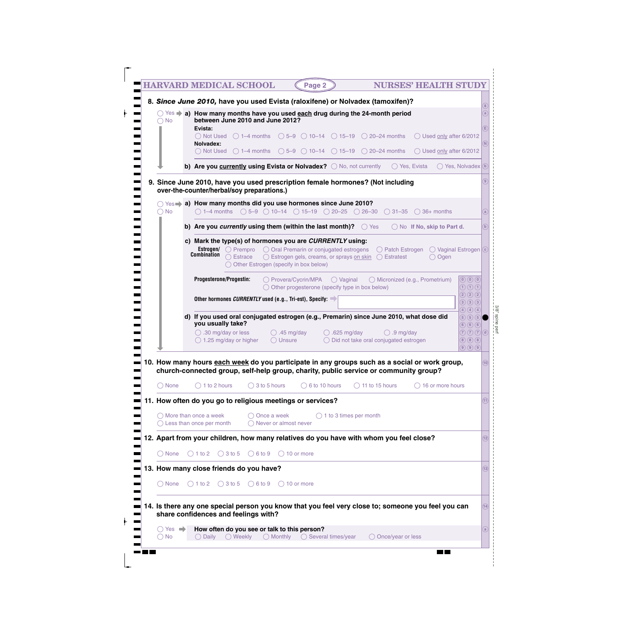| 8. Since June 2010, have you used Evista (raloxifene) or Nolvadex (tamoxifen)?<br>$\bigcirc$ Yes $\blacktriangleright$ a) How many months have you used each drug during the 24-month period                                                                                                                                                                                                                                                                                                                                                                          | <b>NURSES' HEALTH STUDY</b> |
|-----------------------------------------------------------------------------------------------------------------------------------------------------------------------------------------------------------------------------------------------------------------------------------------------------------------------------------------------------------------------------------------------------------------------------------------------------------------------------------------------------------------------------------------------------------------------|-----------------------------|
|                                                                                                                                                                                                                                                                                                                                                                                                                                                                                                                                                                       |                             |
| between June 2010 and June 2012?<br>$\bigcap$ No                                                                                                                                                                                                                                                                                                                                                                                                                                                                                                                      |                             |
| Evista:<br>◯ 1–4 months $\circ$ 5–9 $\circ$ 10–14 $\circ$ 15–19 $\circ$ 20–24 months<br>◯ Used only after 6/2012<br>◯ Not Used                                                                                                                                                                                                                                                                                                                                                                                                                                        |                             |
| Nolvadex:<br>◯ 1–4 months $\circ$ 5–9 $\circ$ 10–14 $\circ$ 15–19 $\circ$ 20–24 months<br>◯ Used only after 6/2012<br>◯ Not Used                                                                                                                                                                                                                                                                                                                                                                                                                                      |                             |
| b) Are you currently using Evista or Nolvadex? $\bigcirc$ No, not currently<br>$\bigcirc$ Yes, Evista<br>O Yes, Nolvadex <b>b</b>                                                                                                                                                                                                                                                                                                                                                                                                                                     |                             |
| 9. Since June 2010, have you used prescription female hormones? (Not including                                                                                                                                                                                                                                                                                                                                                                                                                                                                                        |                             |
| over-the-counter/herbal/soy preparations.)                                                                                                                                                                                                                                                                                                                                                                                                                                                                                                                            |                             |
| ○ Yes → a) How many months did you use hormones since June 2010?<br>$\bigcirc$ 1-4 months $\bigcirc$ 5-9 $\bigcirc$ 10-14 $\bigcirc$ 15-19 $\bigcirc$ 20-25 $\bigcirc$ 26-30 $\bigcirc$ 31-35 $\bigcirc$ 36+ months<br>$\bigcirc$ No                                                                                                                                                                                                                                                                                                                                  | a                           |
| b) Are you currently using them (within the last month)? $\bigcirc$ Yes<br>◯ No If No, skip to Part d.                                                                                                                                                                                                                                                                                                                                                                                                                                                                | $\mathbf{b}$                |
| c) Mark the type(s) of hormones you are CURRENTLY using:                                                                                                                                                                                                                                                                                                                                                                                                                                                                                                              |                             |
| Estrogen/<br>$\bigcirc$ Oral Premarin or conjugated estrogens<br>$\bigcirc$ Prempro<br>$\bigcirc$ Patch Estrogen $\bigcirc$ Vaginal Estrogen $\bigcirc$<br><b>Combination</b><br>◯ Estrogen gels, creams, or sprays on skin<br>$\bigcirc$ Estrace<br>$\bigcirc$ Estratest<br>$\bigcirc$ Ogen<br>$\bigcirc$ Other Estrogen (specify in box below)                                                                                                                                                                                                                      |                             |
| Progesterone/Progestin:<br>$\bigcirc$ Provera/Cycrin/MPA $\bigcirc$ Vaginal<br>$\textcircled{\scriptsize{0}}$ $\textcircled{\scriptsize{1}}$<br>◯ Micronized (e.g., Prometrium)<br>$\mathfrak{D} \mathfrak{O} \mathfrak{O}$<br>$\bigcirc$ Other progesterone (specify type in box below)                                                                                                                                                                                                                                                                              |                             |
| $2)$ $2)$ $2)$<br>Other hormones CURRENTLY used (e.g., Tri-est), Specify:<br>$\bigcirc$ $\bigcirc$ $\bigcirc$                                                                                                                                                                                                                                                                                                                                                                                                                                                         |                             |
| $\bigcirc$ $\bigcirc$ $\bigcirc$ $\bigcirc$<br>d) If you used oral conjugated estrogen (e.g., Premarin) since June 2010, what dose did<br>$\overline{5}\overline{)}\overline{5}\overline{)}\overline{5}$<br>you usually take?<br>666<br>$\bigcirc$ .30 mg/day or less<br>$\mathcal{D}\left( \mathcal{D}\left( \mathcal{D}\right) \right)$<br>$\bigcirc$ .45 mg/day<br>$\bigcirc$ .625 mg/day<br>$\bigcirc$ .9 mg/day<br>$\bigcirc$ 1.25 mg/day or higher<br>Did not take oral conjugated estrogen<br>$\bigcirc$ Unsure<br>$\bigcirc$ $\bigcirc$ $\bigcirc$ $\bigcirc$ |                             |
| $\left( 9\right) \left( 9\right)$<br>10. How many hours each week do you participate in any groups such as a social or work group,                                                                                                                                                                                                                                                                                                                                                                                                                                    | (10)                        |
| church-connected group, self-help group, charity, public service or community group?<br>$\bigcirc$ 1 to 2 hours<br>$\bigcirc$ 6 to 10 hours<br>$\bigcirc$ None<br>3 to 5 hours<br>11 to 15 hours<br>16 or more hours                                                                                                                                                                                                                                                                                                                                                  |                             |
|                                                                                                                                                                                                                                                                                                                                                                                                                                                                                                                                                                       |                             |
| 11. How often do you go to religious meetings or services?<br>$\bigcirc$ More than once a week<br>Once a week<br>1 to 3 times per month                                                                                                                                                                                                                                                                                                                                                                                                                               |                             |
| $\bigcirc$ Less than once per month<br>Never or almost never                                                                                                                                                                                                                                                                                                                                                                                                                                                                                                          |                             |
| 12. Apart from your children, how many relatives do you have with whom you feel close?                                                                                                                                                                                                                                                                                                                                                                                                                                                                                |                             |
|                                                                                                                                                                                                                                                                                                                                                                                                                                                                                                                                                                       | 12)                         |
| $\bigcirc$ 3 to 5<br>10 or more<br>◯ None<br>$\bigcirc$ 1 to 2<br>$\bigcirc$ 6 to 9                                                                                                                                                                                                                                                                                                                                                                                                                                                                                   |                             |
| 13. How many close friends do you have?                                                                                                                                                                                                                                                                                                                                                                                                                                                                                                                               | 13)                         |
| $\bigcirc$ 3 to 5<br>◯ None<br>$\bigcirc$ 1 to 2<br>$\bigcirc$ 6 to 9<br>$( ) 10$ or more                                                                                                                                                                                                                                                                                                                                                                                                                                                                             |                             |
| 14. Is there any one special person you know that you feel very close to; someone you feel you can<br>share confidences and feelings with?                                                                                                                                                                                                                                                                                                                                                                                                                            | (14)                        |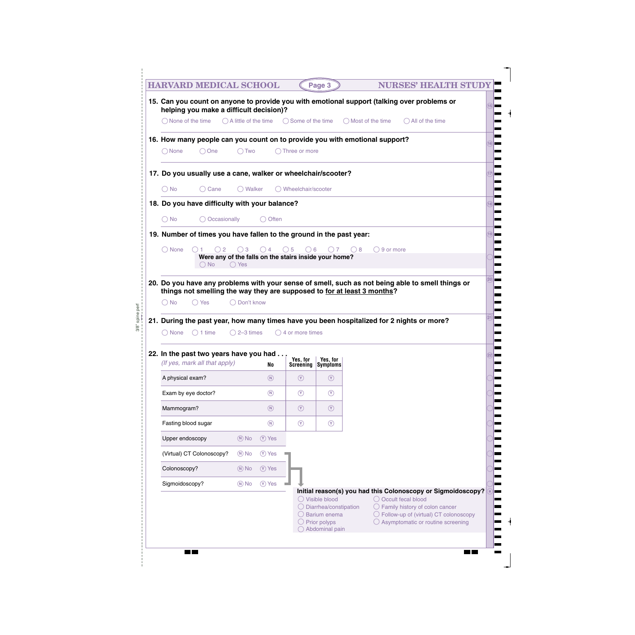| <b>HARVARD MEDICAL SCHOOL</b>                                                            |                         |              |                      |                  |                                                             | Page 3                                                                                      |                             |                                                                                                  | <b>NURSES' HEALTH STU</b>  |  |
|------------------------------------------------------------------------------------------|-------------------------|--------------|----------------------|------------------|-------------------------------------------------------------|---------------------------------------------------------------------------------------------|-----------------------------|--------------------------------------------------------------------------------------------------|----------------------------|--|
| helping you make a difficult decision)?                                                  |                         |              |                      |                  |                                                             | 15. Can you count on anyone to provide you with emotional support (talking over problems or |                             |                                                                                                  |                            |  |
| $\bigcirc$ None of the time                                                              |                         |              |                      |                  | $\bigcirc$ A little of the time $\bigcirc$ Some of the time |                                                                                             | $\bigcirc$ Most of the time |                                                                                                  | $\bigcirc$ All of the time |  |
|                                                                                          |                         |              |                      |                  |                                                             | 16. How many people can you count on to provide you with emotional support?                 |                             |                                                                                                  |                            |  |
| $\bigcirc$ None                                                                          | ◯ One                   |              | $\bigcirc$ Two       |                  | ◯ Three or more                                             |                                                                                             |                             |                                                                                                  |                            |  |
|                                                                                          |                         |              |                      |                  |                                                             | 17. Do you usually use a cane, walker or wheelchair/scooter?                                |                             |                                                                                                  |                            |  |
| $\bigcirc$ No                                                                            | $\bigcirc$ Cane         |              | $\bigcirc$ Walker    |                  | ◯ Wheelchair/scooter                                        |                                                                                             |                             |                                                                                                  |                            |  |
| 18. Do you have difficulty with your balance?                                            |                         |              |                      |                  |                                                             |                                                                                             |                             |                                                                                                  |                            |  |
| $\bigcirc$ No                                                                            | $\bigcirc$ Occasionally |              |                      | $\bigcirc$ Often |                                                             |                                                                                             |                             |                                                                                                  |                            |  |
|                                                                                          |                         |              |                      |                  |                                                             | 19. Number of times you have fallen to the ground in the past year:                         |                             |                                                                                                  |                            |  |
| $\bigcirc$ None                                                                          | ()1                     | $\bigcirc$ 2 | $\bigcirc$ 3         | $\bigcirc$ 4     | $\bigcirc$ 5<br>$\bigcirc$ 6                                | $\bigcirc$ 7 $\bigcirc$ 8                                                                   |                             | $\bigcirc$ 9 or more                                                                             |                            |  |
|                                                                                          | $\bigcirc$ No           |              | $\bigcap$ Yes        |                  |                                                             | Were any of the falls on the stairs inside your home?                                       |                             |                                                                                                  |                            |  |
|                                                                                          |                         |              |                      |                  |                                                             |                                                                                             |                             |                                                                                                  |                            |  |
| things not smelling the way they are supposed to for at least 3 months?<br>$\bigcirc$ No | $\bigcap$ Yes           |              | ◯ Don't know         |                  |                                                             |                                                                                             |                             |                                                                                                  |                            |  |
| $\bigcirc$ None                                                                          | $\bigcirc$ 1 time       |              | $\bigcirc$ 2-3 times |                  | $\bigcirc$ 4 or more times                                  | 21. During the past year, how many times have you been hospitalized for 2 nights or more?   |                             |                                                                                                  |                            |  |
|                                                                                          |                         |              |                      |                  |                                                             |                                                                                             |                             |                                                                                                  |                            |  |
| 22. In the past two years have you had<br>(If yes, mark all that apply)                  |                         |              |                      | No               | Yes, for<br>Screening                                       | Yes, for<br><b>Symptoms</b>                                                                 |                             |                                                                                                  |                            |  |
| A physical exam?                                                                         |                         |              |                      | $\circledR$      | $\circledcirc$                                              | $\circledcirc$                                                                              |                             |                                                                                                  |                            |  |
| Exam by eye doctor?                                                                      |                         |              |                      | $\circledR$      | $\circledcirc$                                              | $\circledcirc$                                                                              |                             |                                                                                                  |                            |  |
| Mammogram?                                                                               |                         |              |                      | $\circledR$      | $\circledcirc$                                              | $\circledcirc$                                                                              |                             |                                                                                                  |                            |  |
| Fasting blood sugar                                                                      |                         |              |                      | $\circledR$      | $\circledcirc$                                              | $\circledcirc$                                                                              |                             |                                                                                                  |                            |  |
| Upper endoscopy                                                                          |                         |              | $(N)$ No             | (Y) Yes          |                                                             |                                                                                             |                             |                                                                                                  |                            |  |
| (Virtual) CT Colonoscopy?                                                                |                         |              | $\overline{M}$ No    | (Y) Yes          |                                                             |                                                                                             |                             |                                                                                                  |                            |  |
| Colonoscopy?                                                                             |                         |              | $\overline{M}$ No    | <b>Yes</b>       |                                                             |                                                                                             |                             |                                                                                                  |                            |  |
| Sigmoidoscopy?                                                                           |                         |              | $\overline{M}$ No    | (Y) Yes          |                                                             |                                                                                             |                             |                                                                                                  |                            |  |
|                                                                                          |                         |              |                      |                  |                                                             | Initial reason(s) you had this Colonoscopy or Sigmoidoscopy?<br>$\bigcirc$ Visible blood    |                             | ◯ Occult fecal blood                                                                             |                            |  |
|                                                                                          |                         |              |                      |                  |                                                             | Diarrhea/constipation<br>) Barium enema                                                     |                             | $\bigcirc$ Family history of colon cancer                                                        |                            |  |
|                                                                                          |                         |              |                      |                  |                                                             | $\bigcirc$ Prior polyps                                                                     |                             | $\bigcirc$ Follow-up of (virtual) CT colonoscopy<br>$\bigcirc$ Asymptomatic or routine screening |                            |  |
|                                                                                          |                         |              |                      |                  |                                                             | Abdominal pain                                                                              |                             |                                                                                                  |                            |  |

 $\blacksquare$ 

3/8" spine perf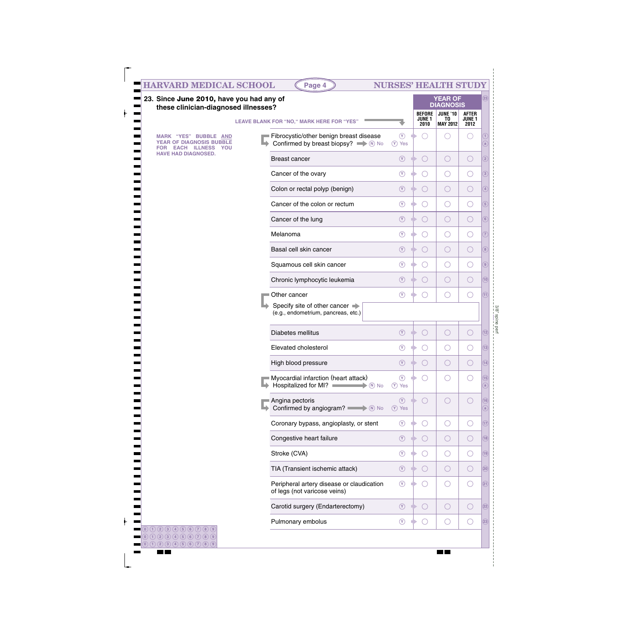| 23. Since June 2010, have you had any of<br>these clinician-diagnosed illnesses?           |                                                                                           |                             |                                               | <b>YEAR OF</b><br><b>DIAGNOSIS</b>       | (23)                           |                        |
|--------------------------------------------------------------------------------------------|-------------------------------------------------------------------------------------------|-----------------------------|-----------------------------------------------|------------------------------------------|--------------------------------|------------------------|
|                                                                                            | LEAVE BLANK FOR "NO," MARK HERE FOR "YES"                                                 |                             | <b>BEFORE</b><br><b>JUNE 1</b><br>2010        | <b>JUNE '10</b><br>TO<br><b>MAY 2012</b> | <b>AFTER</b><br>JUNE 1<br>2012 |                        |
| <b>MARK "YES" BUBBLE AND</b><br>YEAR OF DIAGNOSIS BUBBLE<br>EACH ILLNESS YOU<br><b>FOR</b> | Fibrocystic/other benign breast disease<br>Confirmed by breast biopsy? $\Rightarrow$ N No | $\circledcirc$<br>$(Y)$ Yes |                                               |                                          |                                | a                      |
| <b>HAVE HAD DIAGNOSED.</b>                                                                 | <b>Breast cancer</b>                                                                      | $\circledcirc$              | $\bigcirc$                                    | O                                        | $\bigcirc$                     | $\left( 2\right)$      |
|                                                                                            | Cancer of the ovary                                                                       | $\circledcirc$              | $(\ )$                                        | $\left(\right)$                          | 0                              | $\boxed{3}$            |
|                                                                                            | Colon or rectal polyp (benign)                                                            | $\circledcirc$              | $\left( \begin{array}{c} \end{array} \right)$ | O                                        | Ő                              | $\boxed{4}$            |
|                                                                                            | Cancer of the colon or rectum                                                             | $\circledcirc$              | $(\ )$                                        | $\bigcirc$                               | $\bigcirc$                     | $\boxed{5}$            |
|                                                                                            | Cancer of the lung                                                                        | $\circledcirc$              | $\left(\right)$                               | O                                        | $\bigcirc$                     | $\boxed{6}$            |
|                                                                                            | Melanoma                                                                                  | $\circledcirc$              | ○                                             | $\bigcirc$                               | $\bigcirc$                     | $\widehat{\mathbf{z}}$ |
|                                                                                            | Basal cell skin cancer                                                                    | $\circledcirc$              | $\bigcirc$                                    | O                                        | $\bigcirc$                     | $\boxed{8}$            |
|                                                                                            | Squamous cell skin cancer                                                                 | $\circledcirc$              | ○                                             | Ő                                        | $\bigcirc$                     | $\left(9\right)$       |
|                                                                                            | Chronic lymphocytic leukemia                                                              | $\circledcirc$              | $\bigcirc$                                    | O                                        | O                              | (10)                   |
|                                                                                            | Other cancer                                                                              | $\circledcirc$              | $(\ )$                                        | ◯                                        | 0                              | (11)                   |
|                                                                                            | Specify site of other cancer $\Rightarrow$<br>(e.g., endometrium, pancreas, etc.)         |                             |                                               |                                          |                                |                        |
|                                                                                            | Diabetes mellitus                                                                         | $\circledcirc$              | $\bigcirc$                                    | O                                        | $\bigcirc$                     | (12)                   |
|                                                                                            | Elevated cholesterol                                                                      | $\circledR$                 | $(\ )$                                        | $\bigcirc$                               | ( )                            | (13)                   |
|                                                                                            | High blood pressure                                                                       | $\circledcirc$              |                                               |                                          |                                | (14)                   |
|                                                                                            | Myocardial infarction (heart attack)<br>Hospitalized for MI? <b>Consumer AD</b> No        | $\circledcirc$<br>$(Y)$ Yes | $\overline{(\cdot)}$                          | 0                                        | ۰                              | (15)<br> a             |
|                                                                                            | Angina pectoris<br>Confirmed by angiogram?<br>$\blacktriangleright$ (N) No                | $\circledcirc$<br>(Y) Yes   | $(\ )$                                        | O                                        | ( )                            | (16)<br> a             |
|                                                                                            | Coronary bypass, angioplasty, or stent                                                    | $\circledcirc$              | $(\ )$                                        | O                                        | ( )                            | $\left(17\right)$      |
|                                                                                            | Congestive heart failure                                                                  | $\circledcirc$              | $(\ )$                                        | O                                        | $(\ )$                         | (18)                   |
|                                                                                            | Stroke (CVA)                                                                              | $\circledcirc$              | $(\ )$                                        | O                                        | ( )                            | (19)                   |
|                                                                                            | TIA (Transient ischemic attack)                                                           | $\circledcirc$              | $($ )                                         | O                                        | $\left(\ \right)$              | (20)                   |
|                                                                                            | Peripheral artery disease or claudication<br>of legs (not varicose veins)                 | $\circledcirc$              |                                               | O                                        | ( )                            | (21)                   |
|                                                                                            | Carotid surgery (Endarterectomy)                                                          | $\circledcirc$              | $($ )                                         | $\bigcirc$                               | ( )                            | (22)                   |
|                                                                                            | Pulmonary embolus                                                                         | $^{\circledR}$              | $(\ )$                                        | $\left(\right)$                          | ( )                            | (23)                   |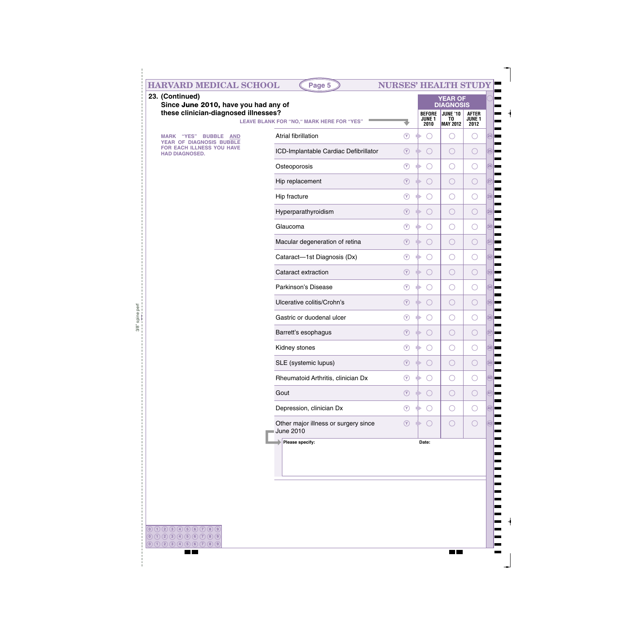| 23. (Continued)<br>Since June 2010, have you had any of<br>these clinician-diagnosed illnesses? |                                                   |                 |                                        | <b>YEAR OF</b><br><b>DIAGNOSIS</b>            |                                       |  |
|-------------------------------------------------------------------------------------------------|---------------------------------------------------|-----------------|----------------------------------------|-----------------------------------------------|---------------------------------------|--|
|                                                                                                 | LEAVE BLANK FOR "NO," MARK HERE FOR "YES"         |                 | <b>BEFORE</b><br><b>JUNE 1</b><br>2010 | JUNE '10<br>T <sub>0</sub><br><b>MAY 2012</b> | <b>AFTER</b><br><b>JUNE 1</b><br>2012 |  |
| "YES" BUBBLE<br>MARK<br><b>AND</b><br>YEAR OF DIAGNOSIS BUBBLE                                  | <b>Atrial fibrillation</b>                        | $\circledcirc$  | $( \ )$                                | O                                             |                                       |  |
| FOR EACH ILLNESS YOU HAVE<br><b>HAD DIAGNOSED.</b>                                              | ICD-Implantable Cardiac Defibrillator             | $\circledcirc$  | ◯                                      | $\bigcirc$                                    | $(\ )$                                |  |
|                                                                                                 | Osteoporosis                                      | $\circledcirc$  | ◯                                      | $\bigcirc$                                    |                                       |  |
|                                                                                                 | Hip replacement                                   | $\circledcirc$  | ○                                      | $\bigcirc$                                    | $(\ )$                                |  |
|                                                                                                 | Hip fracture                                      | $\circledcirc$  | ◯                                      | $\bigcirc$                                    |                                       |  |
|                                                                                                 | Hyperparathyroidism                               | $\circledcirc$  | ○                                      | $\bigcirc$                                    | $\left(\ \right)$                     |  |
|                                                                                                 | Glaucoma                                          | $\circledcirc$  | ◯                                      | $\bigcirc$                                    |                                       |  |
|                                                                                                 | Macular degeneration of retina                    | $\circledcirc$  | ○                                      | O                                             | $\bigcirc$                            |  |
|                                                                                                 | Cataract-1st Diagnosis (Dx)                       | $\circledcirc$  | ◯                                      | $\bigcirc$                                    |                                       |  |
|                                                                                                 | Cataract extraction                               | $\circledcirc$  | ○                                      | O                                             | $\bigcirc$                            |  |
|                                                                                                 | Parkinson's Disease                               | $\circledcirc$  | ◯                                      | $\bigcirc$                                    |                                       |  |
|                                                                                                 | Ulcerative colitis/Crohn's                        | $\circledcirc$  | O                                      | O                                             | $\left(\cdot\right)$                  |  |
|                                                                                                 | Gastric or duodenal ulcer                         | $\circledcirc$  | ∩                                      | $\bigcirc$                                    |                                       |  |
|                                                                                                 | Barrett's esophagus                               | $\circledcirc$  | ∩                                      | O                                             |                                       |  |
|                                                                                                 | Kidney stones                                     | $\circledR$     |                                        | $\bigcirc$                                    |                                       |  |
|                                                                                                 | SLE (systemic lupus)                              | $(\widehat{Y})$ |                                        |                                               |                                       |  |
|                                                                                                 | Rheumatoid Arthritis, clinician Dx                | $\circledcirc$  |                                        | $\left( \begin{array}{c} \end{array} \right)$ |                                       |  |
|                                                                                                 | Gout                                              | $\circledcirc$  | O                                      | O                                             |                                       |  |
|                                                                                                 | Depression, clinician Dx                          | $\circledcirc$  | $(\ )$                                 | $\bigcirc$                                    |                                       |  |
|                                                                                                 | Other major illness or surgery since<br>June 2010 | $\circledcirc$  | $\bigcirc$                             | $\bigcirc$                                    |                                       |  |
|                                                                                                 | Please specify:                                   |                 | Date:                                  |                                               |                                       |  |

**0 1 2 3 4 5 6 7 8 9**  ${\bf 0}$   ${\bf 0}$   ${\bf (1) }$   ${\bf (2) }$   ${\bf (3) }$   ${\bf (4) }$   ${\bf (5) }$   ${\bf (6) }$   ${\bf (7) }$   ${\bf (8) }$   ${\bf (9) }$  ${\bf 0}$   ${\bf 0}$   ${\bf (1) }$   ${\bf (2) }$   ${\bf (3) }$   ${\bf (4) }$   ${\bf (5) }$   ${\bf (6) }$   ${\bf (7) }$   ${\bf (8) }$   ${\bf (9) }$  $\blacksquare$ 

3/8" spine perf 3/8" spine perf

E

E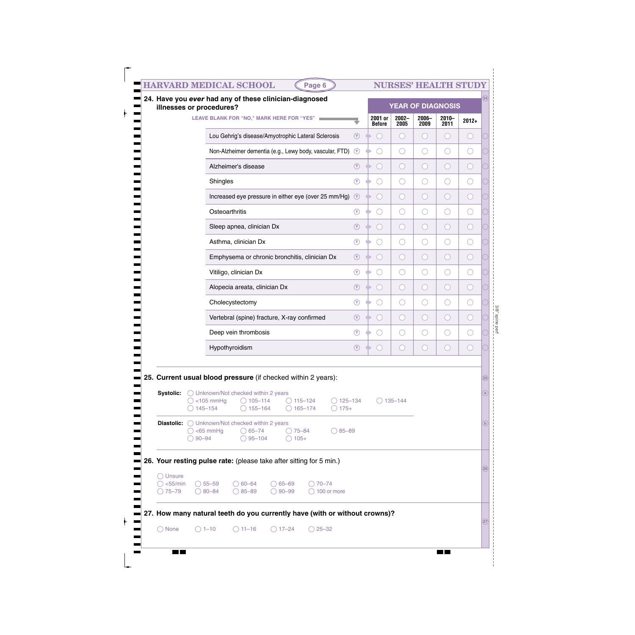| 24. Have you ever had any of these clinician-diagnosed<br>illnesses or procedures? |                                                               |                      |                                                                                                                       |                                                               |                                                                            |                |                                                     |                                               | <b>YEAR OF DIAGNOSIS</b>                    |                                               |          |
|------------------------------------------------------------------------------------|---------------------------------------------------------------|----------------------|-----------------------------------------------------------------------------------------------------------------------|---------------------------------------------------------------|----------------------------------------------------------------------------|----------------|-----------------------------------------------------|-----------------------------------------------|---------------------------------------------|-----------------------------------------------|----------|
|                                                                                    |                                                               |                      |                                                                                                                       | LEAVE BLANK FOR "NO," MARK HERE FOR "YES"                     |                                                                            |                | 2001 or<br><b>Before</b>                            | $2002 -$<br>2005                              | $2006 -$<br>2009                            | $2010 -$<br>2011                              | $2012 +$ |
|                                                                                    |                                                               |                      |                                                                                                                       |                                                               | Lou Gehrig's disease/Amyotrophic Lateral Sclerosis                         | $\circledcirc$ |                                                     | $\left( \quad \right)$                        | $\left( \quad \right)$                      | $\left( \quad \right)$                        |          |
|                                                                                    |                                                               |                      |                                                                                                                       |                                                               | Non-Alzheimer dementia (e.g., Lewy body, vascular, FTD)                    | $\circledcirc$ | C                                                   | $\left(\cdot\right)$                          | O                                           | O                                             | ( )      |
|                                                                                    |                                                               |                      | Alzheimer's disease                                                                                                   |                                                               |                                                                            | $\circled{r}$  | $\begin{array}{c} \square \end{array}$              | $\left( \begin{array}{c} \end{array} \right)$ | O                                           | $\bigcirc$                                    | $(\ )$   |
|                                                                                    |                                                               | Shingles             |                                                                                                                       |                                                               |                                                                            | $\circledcirc$ | $(\ )$                                              | ◯                                             | $\left(\cdot\right)$                        | O                                             | ( )      |
|                                                                                    |                                                               |                      |                                                                                                                       |                                                               | Increased eye pressure in either eye (over 25 mm/Hg)                       | $\circledcirc$ | C                                                   | $\left( \quad \right)$                        | $\left(\begin{array}{c} \end{array}\right)$ | $\bigcirc$                                    | $( \ )$  |
|                                                                                    |                                                               | Osteoarthritis       |                                                                                                                       |                                                               |                                                                            | $\circledcirc$ | €                                                   | O                                             | $\left(\cdot\right)$                        | O                                             | ( )      |
|                                                                                    |                                                               |                      | Sleep apnea, clinician Dx                                                                                             |                                                               |                                                                            | $\circledcirc$ | $\left($                                            | $\left( \quad \right)$                        | $\left(\begin{array}{c} \end{array}\right)$ | $\left(\begin{array}{c} \end{array}\right)$   | $(\ )$   |
|                                                                                    |                                                               |                      | Asthma, clinician Dx                                                                                                  |                                                               |                                                                            | $\circledcirc$ | $(\ )$                                              | $(\ )$                                        | $\left(\begin{array}{c} \end{array}\right)$ | O                                             | ( )      |
|                                                                                    |                                                               |                      |                                                                                                                       | Emphysema or chronic bronchitis, clinician Dx                 |                                                                            | $\circledcirc$ | C                                                   | $\left( \quad \right)$                        | $\left(\begin{array}{c} \end{array}\right)$ | $\left(\begin{array}{c} \end{array}\right)$   | $(\ )$   |
|                                                                                    |                                                               |                      | Vitiligo, clinician Dx                                                                                                |                                                               |                                                                            | $\circledcirc$ | $\left( \begin{array}{c} \cdot \end{array} \right)$ | $\left(\cdot\right)$                          | $\left(\begin{array}{c} \end{array}\right)$ | $(\ )$                                        | $(\ )$   |
|                                                                                    |                                                               |                      | Alopecia areata, clinician Dx                                                                                         |                                                               |                                                                            | $\circledcirc$ | 0                                                   | $\left( \begin{array}{c} \end{array} \right)$ | $\left(\begin{array}{c} \end{array}\right)$ | $\left(\begin{array}{c} \end{array}\right)$   | $(\ )$   |
|                                                                                    |                                                               |                      | Cholecystectomy                                                                                                       |                                                               |                                                                            | $\circledR$    | ( )                                                 | $\left(\begin{array}{c} \end{array}\right)$   | O                                           | $\left(\ \right)$                             | $(\ )$   |
|                                                                                    |                                                               |                      |                                                                                                                       | Vertebral (spine) fracture, X-ray confirmed                   |                                                                            | $\circledcirc$ | C                                                   | $\left( \begin{array}{c} \end{array} \right)$ | $\left(\begin{array}{c} \end{array}\right)$ | $\left(\begin{array}{c} \end{array}\right)$   | $(\ )$   |
|                                                                                    |                                                               |                      | Deep vein thrombosis                                                                                                  |                                                               |                                                                            | $\circledR$    |                                                     | 0                                             | $\left(\ \right)$                           | $\left(\ \right)$                             | ( )      |
|                                                                                    |                                                               |                      | Hypothyroidism                                                                                                        |                                                               |                                                                            | $\circledcirc$ |                                                     | $\overline{(\cdot)}$                          | С.                                          | $\left( \begin{array}{c} \end{array} \right)$ |          |
| <b>Systolic:</b>                                                                   |                                                               | $\bigcirc$ <105 mmHg | ◯ Unknown/Not checked within 2 years<br>$\bigcirc$ 105-114                                                            | 25. Current usual blood pressure (if checked within 2 years): | $\bigcirc$ 115-124<br>$\bigcirc$ 125-134                                   |                | $\bigcirc$ 135-144                                  |                                               |                                             |                                               |          |
|                                                                                    | $\bigcirc$ 145-154<br>$\bigcirc$ <65 mmHg<br>$\bigcirc$ 90-94 |                      | $\bigcirc$ 155-164<br><b>Diastolic:</b> O Unknown/Not checked within 2 years<br>$\bigcirc$ 65-74<br>$\bigcirc$ 95-104 | $O$ 75-84<br>$\bigcirc$ 105+                                  | $\bigcirc$ 165-174<br>$\bigcirc$ 175+<br>$\bigcirc$ 85-89                  |                |                                                     |                                               |                                             |                                               |          |
|                                                                                    |                                                               |                      |                                                                                                                       |                                                               | 26. Your resting pulse rate: (please take after sitting for 5 min.)        |                |                                                     |                                               |                                             |                                               |          |
| $\bigcirc$ Unsure<br>$\bigcirc$ <55/min<br>$\bigcirc$ 75–79                        | $\bigcirc$ 55-59                                              | $\bigcirc$ 80-84     | $\bigcirc$ 60-64<br>$\bigcirc$ 85-89                                                                                  | $\bigcirc$ 65-69<br>$\bigcirc$ 90-99                          | $\bigcirc$ 70–74<br>$\bigcirc$ 100 or more                                 |                |                                                     |                                               |                                             |                                               |          |
|                                                                                    |                                                               |                      |                                                                                                                       |                                                               | 27. How many natural teeth do you currently have (with or without crowns)? |                |                                                     |                                               |                                             |                                               |          |
| $\bigcirc$ None                                                                    | $\bigcirc$ 1-10                                               |                      | $\bigcirc$ 11-16                                                                                                      | $\bigcirc$ 17-24                                              | $\bigcirc$ 25-32                                                           |                |                                                     |                                               |                                             |                                               |          |

 $3/8"$  spine perf 3/8" spine perf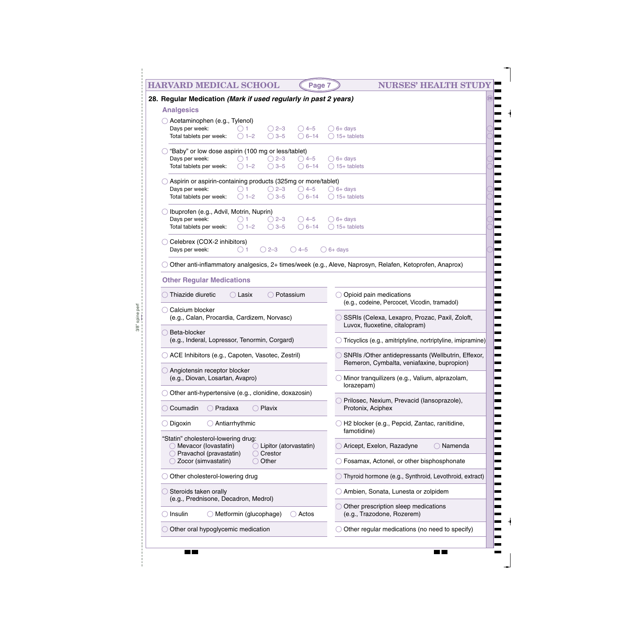| <b>HARVARD MEDICAL SCHOOL</b><br>Page 7                                                                                                                                                               | <b>NURSES' HEAT</b>                                                                                                              |
|-------------------------------------------------------------------------------------------------------------------------------------------------------------------------------------------------------|----------------------------------------------------------------------------------------------------------------------------------|
| 28. Regular Medication (Mark if used regularly in past 2 years)                                                                                                                                       |                                                                                                                                  |
| <b>Analgesics</b>                                                                                                                                                                                     |                                                                                                                                  |
| Acetaminophen (e.g., Tylenol)<br>$\bigcirc$ 2-3<br>$\bigcirc$ 4–5<br>Days per week:<br>1.<br>$\bigcirc$ 3-5<br>Total tablets per week:<br>$\bigcirc$ 1-2<br>$\bigcirc$ 6-14                           | $\bigcirc$ 6+ days<br>$\bigcirc$ 15+ tablets                                                                                     |
| "Baby" or low dose aspirin (100 mg or less/tablet)<br>$\bigcirc$ 2-3<br>$\bigcirc$ 4–5<br>Days per week:<br>1<br>$\bigcirc$ 3-5<br>Total tablets per week:<br>$\bigcirc$ 1-2<br>$\bigcirc$ 6-14       | $\bigcirc$ 6+ days<br>$\bigcirc$ 15+ tablets                                                                                     |
| Aspirin or aspirin-containing products (325mg or more/tablet)<br>$\bigcirc$ 4–5<br>Days per week:<br>$\bigcirc$ 2–3<br>$\bigcirc$ 3-5<br>Total tablets per week:<br>$\bigcirc$ 6-14<br>$\bigcirc$ 1-2 | $\bigcirc$ 6+ days<br>$\bigcirc$ 15+ tablets                                                                                     |
| Ibuprofen (e.g., Advil, Motrin, Nuprin)<br>Days per week:<br>$2 - 3$<br>$\bigcirc$ 4–5<br>$\bigcirc$ 1-2<br>$\bigcirc$ 3-5<br>$\bigcirc$ 6-14<br>Total tablets per week:                              | $\bigcirc$ 6+ days<br>$\bigcirc$ 15+ tablets                                                                                     |
| Celebrex (COX-2 inhibitors)<br>$\bigcirc$ 2-3<br>Days per week:<br>$\bigcirc$ 4–5<br>()1                                                                                                              | $\bigcirc$ 6+ days                                                                                                               |
| Other anti-inflammatory analgesics, 2+ times/week (e.g., Aleve, Naprosyn, Relafen, Ketoprofen, Anaprox)                                                                                               |                                                                                                                                  |
| <b>Other Regular Medications</b>                                                                                                                                                                      |                                                                                                                                  |
| Thiazide diuretic<br>Potassium<br>$\bigcirc$ Lasix                                                                                                                                                    | Opioid pain medications                                                                                                          |
| Calcium blocker<br>(e.g., Calan, Procardia, Cardizem, Norvasc)                                                                                                                                        | (e.g., codeine, Percocet, Vicodin, tramadol)<br>SSRIs (Celexa, Lexapro, Prozac, Paxil, Zoloft,<br>Luvox, fluoxetine, citalopram) |
| Beta-blocker<br>(e.g., Inderal, Lopressor, Tenormin, Corgard)                                                                                                                                         | Tricyclics (e.g., amitriptyline, nortriptyline, imipramine)                                                                      |
| ACE Inhibitors (e.g., Capoten, Vasotec, Zestril)                                                                                                                                                      | SNRIs /Other antidepressants (Wellbutrin, Effexor,<br>Remeron, Cymbalta, veniafaxine, bupropion)                                 |
| Angiotensin receptor blocker<br>(e.g., Diovan, Losartan, Avapro)                                                                                                                                      | Minor tranquilizers (e.g., Valium, alprazolam,                                                                                   |
| Other anti-hypertensive (e.g., clonidine, doxazosin)                                                                                                                                                  | lorazepam)                                                                                                                       |
| Plavix<br>Coumadin<br>Pradaxa                                                                                                                                                                         | Prilosec, Nexium, Prevacid (Iansoprazole),<br>Protonix, Aciphex                                                                  |
| Antiarrhythmic<br>Digoxin                                                                                                                                                                             | H2 blocker (e.g., Pepcid, Zantac, ranitidine,<br>famotidine)                                                                     |
|                                                                                                                                                                                                       |                                                                                                                                  |
| "Statin" cholesterol-lowering drug:<br>O Mevacor (lovastatin)<br>Lipitor (atorvastatin)                                                                                                               | Aricept, Exelon, Razadyne<br>Namenda                                                                                             |
| Pravachol (pravastatin)<br>Crestor<br>Zocor (simvastatin)<br>Other                                                                                                                                    | Fosamax, Actonel, or other bisphosphonate                                                                                        |
| Other cholesterol-lowering drug                                                                                                                                                                       | Thyroid hormone (e.g., Synthroid, Levothroid, extract)                                                                           |
| Steroids taken orally                                                                                                                                                                                 | Ambien, Sonata, Lunesta or zolpidem                                                                                              |
| (e.g., Prednisone, Decadron, Medrol)<br>Metformin (glucophage)<br>Actos<br>Insulin                                                                                                                    | Other prescription sleep medications<br>(e.g., Trazodone, Rozerem)                                                               |

 $\overline{\phantom{a}}$ 

 $\overline{\phantom{a}}$ 

3/8" spine perf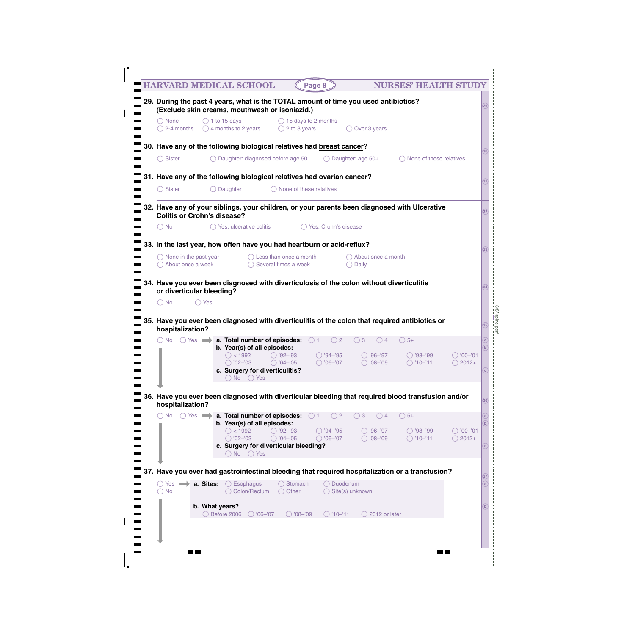| <b>HARVARD MEDICAL SCHOOL</b><br><b>NURSES' HEALTH STUDY</b><br>Page 8<br>29. During the past 4 years, what is the TOTAL amount of time you used antibiotics?                                                                                                                  |                              |
|--------------------------------------------------------------------------------------------------------------------------------------------------------------------------------------------------------------------------------------------------------------------------------|------------------------------|
| (Exclude skin creams, mouthwash or isoniazid.)                                                                                                                                                                                                                                 | (29)                         |
| $\bigcap$ None<br>$\bigcirc$ 1 to 15 days<br>$\bigcirc$ 15 days to 2 months<br>$\bigcirc$ 2-4 months<br>$\bigcirc$ 4 months to 2 years<br>$\bigcirc$ 2 to 3 years<br>$\bigcirc$ Over 3 years                                                                                   |                              |
| 30. Have any of the following biological relatives had breast cancer?                                                                                                                                                                                                          | (30)                         |
| $\bigcirc$ Sister<br>$\bigcirc$ Daughter: diagnosed before age 50<br>Daughter: age 50+<br>$\bigcap$ None of these relatives                                                                                                                                                    |                              |
| 31. Have any of the following biological relatives had ovarian cancer?                                                                                                                                                                                                         | (31)                         |
| ◯ Sister<br>$\bigcirc$ Daughter<br>$\bigcap$ None of these relatives                                                                                                                                                                                                           |                              |
| 32. Have any of your siblings, your children, or your parents been diagnosed with Ulcerative<br><b>Colitis or Crohn's disease?</b>                                                                                                                                             | $ 32\rangle$                 |
| $\bigcirc$ No<br>$\bigcirc$ Yes, ulcerative colitis<br>◯ Yes. Crohn's disease                                                                                                                                                                                                  |                              |
| 33. In the last year, how often have you had heartburn or acid-reflux?                                                                                                                                                                                                         | (33)                         |
| $\bigcirc$ None in the past year<br>$\bigcirc$ Less than once a month<br>() About once a month<br>About once a week<br>Several times a week<br>( ) Daily                                                                                                                       |                              |
| 34. Have you ever been diagnosed with diverticulosis of the colon without diverticulitis                                                                                                                                                                                       | $\left(34\right)$            |
| or diverticular bleeding?<br>$\bigcirc$ No<br>$\bigcirc$ Yes                                                                                                                                                                                                                   |                              |
|                                                                                                                                                                                                                                                                                |                              |
| 35. Have you ever been diagnosed with diverticulitis of the colon that required antibiotics or<br>hospitalization?                                                                                                                                                             | (35)                         |
| $\bigcirc$ Yes $\longrightarrow$ a. Total number of episodes:<br>( ) No<br>3<br>()2<br>( ) 4<br>()5+<br>b. Year(s) of all episodes:                                                                                                                                            | $\mathbf{a}$<br>$\mathsf{b}$ |
| $O'00-'01$<br>$\bigcirc$ < 1992<br>$O'92-'93$<br>$\bigcirc$ '94–'95<br>$O'96 - 97$<br>$O'98 - 99$<br>$O'02-03$<br>$O'$ -06' $O'$<br>$0$ '08-'09<br>$2012+$<br>$O'04-705$<br>$\bigcirc$ '10-'11<br>c. Surgery for diverticulitis?<br>$\bigcirc$ No $\bigcirc$<br>$\bigcirc$ Yes |                              |
|                                                                                                                                                                                                                                                                                |                              |
| 36. Have you ever been diagnosed with diverticular bleeding that required blood transfusion and/or<br>hospitalization?                                                                                                                                                         |                              |
| a. Total number of episodes:<br>$\bigcirc$ 2<br>$\bigcirc$ 5+<br>◯ No<br>$\bigcirc$ Yes $\longrightarrow$<br>$\bigcirc$ 3<br>()4<br>b. Year(s) of all episodes:                                                                                                                |                              |
| $O'92-93$<br>$\bigcirc$ < 1992<br>$O'96 - 97$<br>$\bigcirc$ '94–'95<br>$O'98 - 99$<br>$O'$ -00' $O$<br>$O'02-03$<br>$O'04-705$<br>$0^{\circ}$ -80' $\bigcirc$<br>$O'06 - 07$<br>$O'10-'11$<br>$\bigcirc$ 2012+<br>c. Surgery for diverticular bleeding?                        |                              |
| $\bigcap$ No $\bigcap$ Yes                                                                                                                                                                                                                                                     |                              |
| 37. Have you ever had gastrointestinal bleeding that required hospitalization or a transfusion?                                                                                                                                                                                |                              |
| ◯ Duodenum<br>a. Sites:<br>$\bigcirc$ Esophagus<br>$\bigcirc$ Stomach<br>$\bigcirc$ Yes $\implies$<br>O Colon/Rectum<br>◯ Site(s) unknown<br>$\bigcirc$ No<br>$\bigcirc$ Other                                                                                                 |                              |
| b. What years?<br>$\bigcirc$ Before 2006<br>$\bigcirc$ '10-'11<br>$\bigcirc$ '06–'07<br>$O'$ '08-'09<br>$\bigcirc$ 2012 or later                                                                                                                                               |                              |
|                                                                                                                                                                                                                                                                                |                              |
|                                                                                                                                                                                                                                                                                |                              |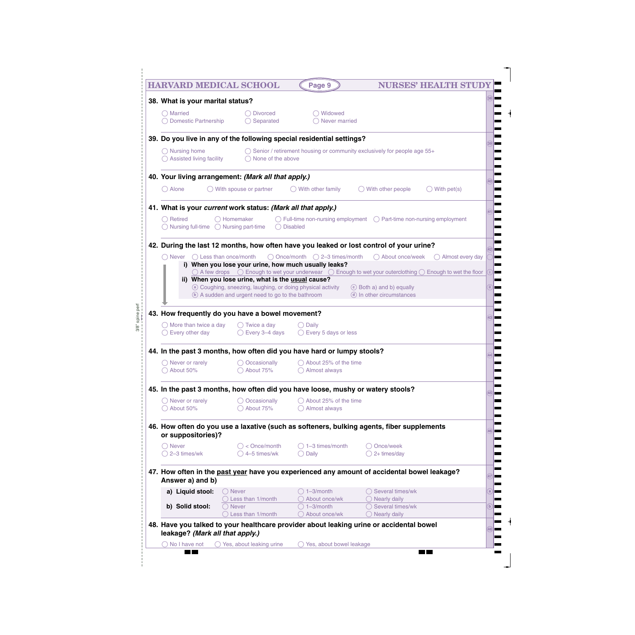| <b>HARVARD MEDICAL SCHOOL</b>                                                                                   |                                                     |                    | Page 9                                                                                                                                                                                                  |                                                        | <b>NURSES' HEALTH STUD</b>  |  |
|-----------------------------------------------------------------------------------------------------------------|-----------------------------------------------------|--------------------|---------------------------------------------------------------------------------------------------------------------------------------------------------------------------------------------------------|--------------------------------------------------------|-----------------------------|--|
| 38. What is your marital status?                                                                                |                                                     |                    |                                                                                                                                                                                                         |                                                        |                             |  |
| ◯ Married                                                                                                       | <b>Divorced</b>                                     |                    | Widowed                                                                                                                                                                                                 |                                                        |                             |  |
| <b>Domestic Partnership</b>                                                                                     |                                                     | Separated          | Never married                                                                                                                                                                                           |                                                        |                             |  |
| 39. Do you live in any of the following special residential settings?                                           |                                                     |                    |                                                                                                                                                                                                         |                                                        |                             |  |
| $\bigcirc$ Nursing home                                                                                         |                                                     |                    | $\bigcirc$ Senior / retirement housing or community exclusively for people age 55+                                                                                                                      |                                                        |                             |  |
| $\bigcirc$ Assisted living facility                                                                             |                                                     | None of the above  |                                                                                                                                                                                                         |                                                        |                             |  |
| 40. Your living arrangement: (Mark all that apply.)                                                             |                                                     |                    |                                                                                                                                                                                                         |                                                        |                             |  |
| $\bigcirc$ Alone                                                                                                | $\bigcirc$ With spouse or partner                   |                    | $\bigcirc$ With other family                                                                                                                                                                            | With other people                                      | With pet(s)                 |  |
| 41. What is your current work status: (Mark all that apply.)                                                    |                                                     |                    |                                                                                                                                                                                                         |                                                        |                             |  |
| $\bigcirc$ Retired                                                                                              | $\bigcap$ Homemaker                                 |                    | $\bigcirc$ Full-time non-nursing employment $\bigcirc$ Part-time non-nursing employment                                                                                                                 |                                                        |                             |  |
| $\bigcirc$ Nursing full-time $\bigcirc$ Nursing part-time                                                       |                                                     | $\bigcap$ Disabled |                                                                                                                                                                                                         |                                                        |                             |  |
| 42. During the last 12 months, how often have you leaked or lost control of your urine?                         |                                                     |                    |                                                                                                                                                                                                         |                                                        |                             |  |
| $\bigcap$ Never $\bigcap$ Less than once/month                                                                  |                                                     |                    | $\bigcirc$ Once/month $\bigcirc$ 2-3 times/month                                                                                                                                                        | ◯ About once/week                                      | $\bigcirc$ Almost every day |  |
|                                                                                                                 |                                                     |                    | i) When you lose your urine, how much usually leaks?<br>$\bigcirc$ A few drops $\bigcirc$ C Enough to wet your underwear $\bigcirc$ Enough to wet your outerclothing $\bigcirc$ Enough to wet the floor |                                                        |                             |  |
|                                                                                                                 | ii) When you lose urine, what is the usual cause?   |                    |                                                                                                                                                                                                         |                                                        |                             |  |
|                                                                                                                 | (b) A sudden and urgent need to go to the bathroom  |                    | a Coughing, sneezing, laughing, or doing physical activity                                                                                                                                              | C Both a) and b) equally<br>(a) In other circumstances |                             |  |
|                                                                                                                 |                                                     |                    |                                                                                                                                                                                                         |                                                        |                             |  |
| 43. How frequently do you have a bowel movement?                                                                |                                                     |                    |                                                                                                                                                                                                         |                                                        |                             |  |
| $\bigcirc$ More than twice a day<br>Every other day                                                             | $\bigcirc$ Twice a day<br>$\bigcirc$ Every 3-4 days |                    | $\bigcirc$ Daily<br>◯ Every 5 days or less                                                                                                                                                              |                                                        |                             |  |
|                                                                                                                 |                                                     |                    |                                                                                                                                                                                                         |                                                        |                             |  |
| 44. In the past 3 months, how often did you have hard or lumpy stools?                                          |                                                     |                    |                                                                                                                                                                                                         |                                                        |                             |  |
| $\bigcirc$ Never or rarely<br>About 50%                                                                         | $\bigcirc$ Occasionally<br>About 75%                |                    | $\bigcirc$ About 25% of the time<br>Almost always                                                                                                                                                       |                                                        |                             |  |
|                                                                                                                 |                                                     |                    |                                                                                                                                                                                                         |                                                        |                             |  |
| 45. In the past 3 months, how often did you have loose, mushy or watery stools?                                 |                                                     |                    |                                                                                                                                                                                                         |                                                        |                             |  |
| $\bigcirc$ Never or rarely                                                                                      | ◯ Occasionally                                      |                    | $\bigcirc$ About 25% of the time                                                                                                                                                                        |                                                        |                             |  |
| About 50%                                                                                                       | About 75%                                           |                    | Almost always                                                                                                                                                                                           |                                                        |                             |  |
| 46. How often do you use a laxative (such as softeners, bulking agents, fiber supplements                       |                                                     |                    |                                                                                                                                                                                                         |                                                        |                             |  |
| or suppositories)?                                                                                              |                                                     |                    |                                                                                                                                                                                                         |                                                        |                             |  |
| $\bigcirc$ Never<br>$\bigcirc$ 2-3 times/wk                                                                     | $\bigcirc$ < Once/month<br>$\bigcirc$ 4-5 times/wk  |                    | $\bigcirc$ 1-3 times/month<br>$\bigcirc$ Daily                                                                                                                                                          | Once/week<br>2+ times/day                              |                             |  |
|                                                                                                                 |                                                     |                    |                                                                                                                                                                                                         |                                                        |                             |  |
| 47. How often in the past year have you experienced any amount of accidental bowel leakage?<br>Answer a) and b) |                                                     |                    |                                                                                                                                                                                                         |                                                        |                             |  |
| a) Liquid stool:                                                                                                | <b>Never</b>                                        |                    | $) 1-3/m$ onth                                                                                                                                                                                          | Several times/wk                                       |                             |  |
|                                                                                                                 | Less than 1/month                                   |                    | About once/wk                                                                                                                                                                                           | Nearly daily                                           |                             |  |
| b) Solid stool:                                                                                                 | <b>Never</b><br>Less than 1/month                   |                    | $\big)$ 1-3/month<br>About once/wk                                                                                                                                                                      | Several times/wk<br>Nearly daily                       |                             |  |
| 48. Have you talked to your healthcare provider about leaking urine or accidental bowel                         |                                                     |                    |                                                                                                                                                                                                         |                                                        |                             |  |
| leakage? (Mark all that apply.)                                                                                 |                                                     |                    |                                                                                                                                                                                                         |                                                        |                             |  |
|                                                                                                                 |                                                     |                    |                                                                                                                                                                                                         |                                                        |                             |  |

3/8" spine perf

3/8" spine perf

 $\frac{1}{4}$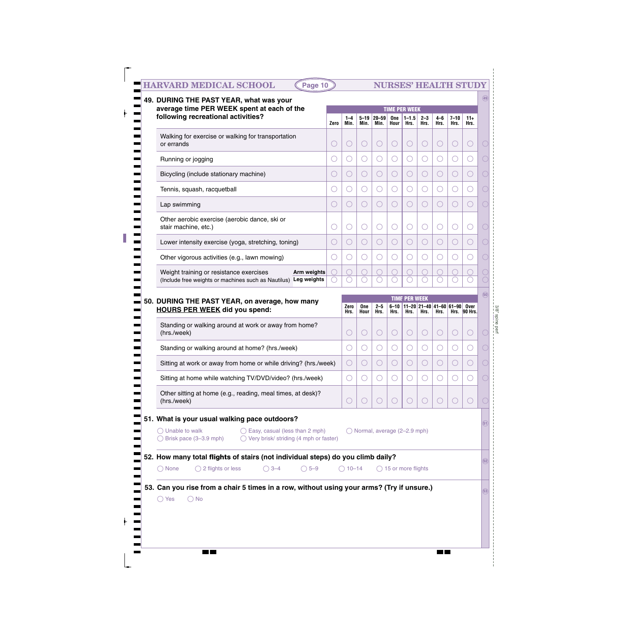3/8" spine perf

3/8" spine perf

**TO** 

| <b>HARVARD MEDICAL SCHOOL</b> | <b>NURSES' HEALTH STUDY</b> |
|-------------------------------|-----------------------------|
|                               |                             |

**THE** 

| 49. DURING THE PAST YEAR, what was your                                                                                   |      |                 |                               |                 |                  |                                               |                 |                 | URBED HEALH STUDI                   |                       | (49)           |
|---------------------------------------------------------------------------------------------------------------------------|------|-----------------|-------------------------------|-----------------|------------------|-----------------------------------------------|-----------------|-----------------|-------------------------------------|-----------------------|----------------|
| average time PER WEEK spent at each of the                                                                                |      |                 |                               |                 |                  | <b>TIME PER WEEK</b>                          |                 |                 |                                     |                       |                |
| following recreational activities?                                                                                        | Zero | $1 - 4$<br>Min. | $5 - 19$<br>Min.              | 20-59<br>Min.   | One<br>Hour      | $1 - 1.5$<br>Hrs.                             | $2 - 3$<br>Hrs. | $4 - 6$<br>Hrs. | $7 - 10$<br>Hrs.                    | $11+$<br>Hrs.         |                |
| Walking for exercise or walking for transportation<br>or errands                                                          | ( )  | $(\ )$          | O                             | 0               | C                |                                               | Ο.              | ( )             | C .                                 |                       | ○              |
| Running or jogging                                                                                                        |      |                 | U                             |                 | U                |                                               |                 |                 | U.                                  |                       | $( \ )$        |
| Bicycling (include stationary machine)                                                                                    | U    |                 | 0                             | U               | ( . )            | $\left( \begin{array}{c} \end{array} \right)$ |                 | U               | U                                   |                       | $(\ )$         |
| Tennis, squash, racquetball                                                                                               |      |                 | 0                             |                 | С.               |                                               |                 |                 |                                     |                       | $( \ )$        |
| Lap swimming                                                                                                              | ( )  |                 | 0                             | O,              | С.               |                                               |                 | ( )             | U                                   |                       | $( \ )$        |
| Other aerobic exercise (aerobic dance, ski or<br>stair machine, etc.)                                                     | O    |                 | 0                             |                 | С.               |                                               |                 |                 | 0                                   |                       | $\bigcirc$     |
| Lower intensity exercise (yoga, stretching, toning)                                                                       |      |                 | 0                             | U               | U                | $\left( \begin{array}{c} \end{array} \right)$ |                 | U               | ( )                                 |                       | $( \ )$        |
| Other vigorous activities (e.g., lawn mowing)                                                                             |      |                 | 0                             |                 | C.               |                                               |                 |                 |                                     |                       | $($ )          |
| Arm weights<br>Weight training or resistance exercises<br>(Include free weights or machines such as Nautilus) Leg weights |      |                 |                               |                 |                  |                                               |                 |                 |                                     |                       |                |
|                                                                                                                           |      |                 |                               |                 |                  |                                               |                 |                 |                                     |                       | (50)           |
| 50. DURING THE PAST YEAR, on average, how many<br><b>HOURS PER WEEK did you spend:</b>                                    |      | Zero<br>Hrs.    | <b>One</b><br>Hour            | $2 - 5$<br>Hrs. | $6 - 10$<br>Hrs. | <b>TIME PER WEEK</b><br>Hrs.                  | Hrs.            | Hrs.            | $ 11-20 21-40 41-60 61-90 $<br>Hrs. | <b>Over</b><br>90 Hrs |                |
| Standing or walking around at work or away from home?<br>(hrs./week)                                                      |      |                 | 0                             | ( )             | O                |                                               | $(\quad)$       | ∪)              | ( )                                 |                       | $\bigcirc$     |
| Standing or walking around at home? (hrs./week)                                                                           |      |                 | O                             |                 | C.               |                                               |                 |                 |                                     |                       | $($ )          |
| Sitting at work or away from home or while driving? (hrs./week)                                                           |      |                 |                               |                 |                  |                                               |                 |                 |                                     |                       |                |
| Sitting at home while watching TV/DVD/video? (hrs./week)                                                                  |      |                 | U                             |                 | ( .              |                                               |                 |                 |                                     |                       | $\bigcirc$     |
| Other sitting at home (e.g., reading, meal times, at desk)?<br>(hrs./week)                                                |      | $(\ )$          | $(\ )$                        |                 | $(\ )$           |                                               |                 | $(\ )$          | $(\ )$                              | $(\ )$                | $\bigcirc$     |
| 51. What is your usual walking pace outdoors?<br>$\bigcirc$ Unable to walk<br>$\bigcirc$ Easy, casual (less than 2 mph)   |      |                 | ◯ Normal, average (2-2.9 mph) |                 |                  |                                               |                 |                 |                                     |                       | $\circledcirc$ |
| $\bigcirc$ Very brisk/ striding (4 mph or faster)<br>Brisk pace (3-3.9 mph)                                               |      |                 |                               |                 |                  |                                               |                 |                 |                                     |                       |                |
| 52. How many total flights of stairs (not individual steps) do you climb daily?                                           |      |                 |                               |                 |                  |                                               |                 |                 |                                     |                       | (52)           |
| $\bigcirc$ 2 flights or less<br>$\bigcirc$ None<br>$()$ 3–4<br>$()$ 5-9                                                   |      | () 10–14        |                               |                 |                  | $\bigcirc$ 15 or more flights                 |                 |                 |                                     |                       |                |
| 53. Can you rise from a chair 5 times in a row, without using your arms? (Try if unsure.)                                 |      |                 |                               |                 |                  |                                               |                 |                 |                                     |                       | (53)           |
| $\bigcirc$ No<br>$\bigcirc$ Yes                                                                                           |      |                 |                               |                 |                  |                                               |                 |                 |                                     |                       |                |
|                                                                                                                           |      |                 |                               |                 |                  |                                               |                 |                 |                                     |                       |                |
|                                                                                                                           |      |                 |                               |                 |                  |                                               |                 |                 |                                     |                       |                |
|                                                                                                                           |      |                 |                               |                 |                  |                                               |                 |                 |                                     |                       |                |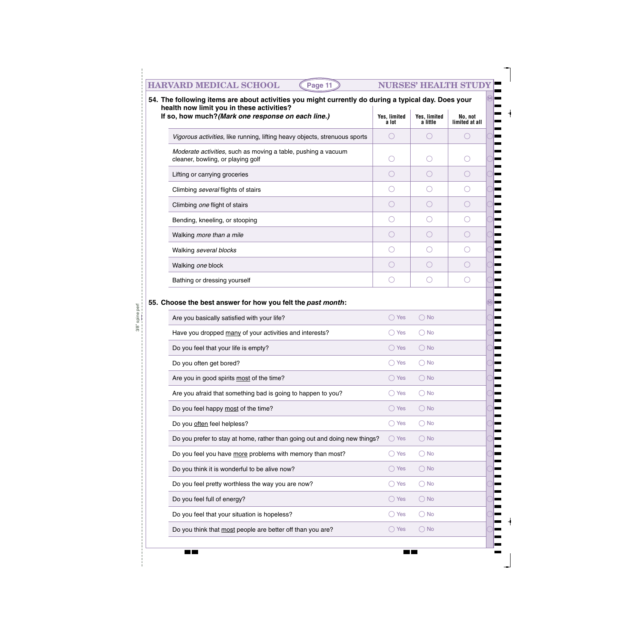| <b>HARVARD MEDICAL SCHOOL</b><br>Page 11                                                            |                       | <b>NURSES' HEALTH STUD</b> |                                                     |  |
|-----------------------------------------------------------------------------------------------------|-----------------------|----------------------------|-----------------------------------------------------|--|
| 54. The following items are about activities you might currently do during a typical day. Does your |                       |                            |                                                     |  |
| health now limit you in these activities?<br>If so, how much? (Mark one response on each line.)     | Yes, limited<br>a lot | Yes, limited<br>a little   | No, not<br>limited at all                           |  |
| Vigorous activities, like running, lifting heavy objects, strenuous sports                          | $(\ )$                |                            |                                                     |  |
| Moderate activities, such as moving a table, pushing a vacuum<br>cleaner, bowling, or playing golf  |                       |                            |                                                     |  |
| Lifting or carrying groceries                                                                       |                       |                            | $(\ )$                                              |  |
| Climbing several flights of stairs                                                                  |                       |                            |                                                     |  |
| Climbing one flight of stairs                                                                       |                       | $( \ )$                    | $\left( \begin{array}{c} \end{array} \right)$       |  |
| Bending, kneeling, or stooping                                                                      |                       | $($ )                      | $\left( \begin{array}{c} \cdot \end{array} \right)$ |  |
| Walking more than a mile                                                                            |                       | $( \ )$                    | ( )                                                 |  |
| Walking several blocks                                                                              |                       |                            |                                                     |  |
| Walking one block                                                                                   |                       |                            |                                                     |  |
| Bathing or dressing yourself                                                                        |                       |                            |                                                     |  |
| 55. Choose the best answer for how you felt the past month:                                         |                       |                            |                                                     |  |
| Are you basically satisfied with your life?                                                         | $\bigcirc$ Yes        | $\bigcirc$ No              |                                                     |  |
| Have you dropped many of your activities and interests?                                             | () Yes                | $\bigcirc$ No              |                                                     |  |
| Do you feel that your life is empty?                                                                | $\bigcirc$ Yes        | $\bigcirc$ No              |                                                     |  |
| Do you often get bored?                                                                             | $\bigcirc$ Yes        | $\bigcirc$ No              |                                                     |  |
| Are you in good spirits most of the time?                                                           | $\bigcirc$ Yes        | $\bigcirc$ No              |                                                     |  |
| Are you afraid that something bad is going to happen to you?                                        | $\bigcirc$ Yes        | $\bigcirc$ No              |                                                     |  |
| Do you feel happy most of the time?                                                                 | $\bigcirc$ Yes        | $\bigcirc$ No              |                                                     |  |
| Do you often feel helpless?                                                                         | $\bigcirc$ Yes        | $\bigcirc$ No              |                                                     |  |
| Do you prefer to stay at home, rather than going out and doing new things?                          | $\bigcirc$ Yes        | $\bigcirc$ No              |                                                     |  |
| Do you feel you have more problems with memory than most?                                           | $\bigcirc$ Yes        | $\bigcirc$ No              |                                                     |  |
| Do you think it is wonderful to be alive now?                                                       | $\bigcirc$ Yes        | $\bigcirc$ No              |                                                     |  |
| Do you feel pretty worthless the way you are now?                                                   | $\bigcirc$ Yes        | $\bigcirc$ No              |                                                     |  |
| Do you feel full of energy?                                                                         | $\bigcirc$ Yes        | $\bigcirc$ No              |                                                     |  |
| Do you feel that your situation is hopeless?                                                        | $\bigcirc$ Yes        | $\bigcirc$ No              |                                                     |  |
| Do you think that most people are better off than you are?                                          | $\bigcirc$ Yes        | $\bigcirc$ No              |                                                     |  |

۳

 $\blacksquare$ 

 $\overline{\blacksquare}$ 

3/8" spine perf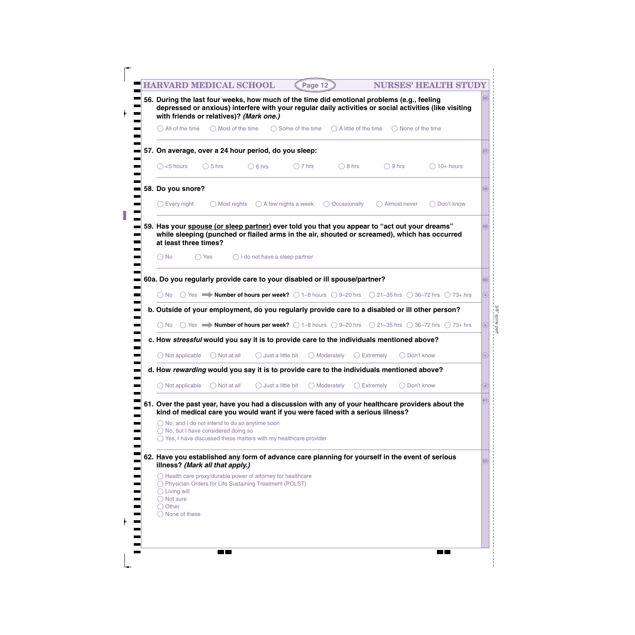| <b>HARVARD MEDICAL SCHOOL</b><br>Page 12<br><b>NURSES' HEALTH STUDY</b>                                                                                                                                                                         |                        |
|-------------------------------------------------------------------------------------------------------------------------------------------------------------------------------------------------------------------------------------------------|------------------------|
| 56. During the last four weeks, how much of the time did emotional problems (e.g., feeling<br>depressed or anxious) interfere with your regular daily activities or social activities (like visiting<br>with friends or relatives)? (Mark one.) | (56)                   |
| $\bigcirc$ A little of the time $\bigcirc$ None of the time<br>$\bigcirc$ All of the time<br>$\bigcirc$ Most of the time<br>$\bigcirc$ Some of the time                                                                                         |                        |
| 57. On average, over a 24 hour period, do you sleep:                                                                                                                                                                                            | (57)                   |
| $\bigcirc$ <5 hours<br>$\bigcirc$ 5 hrs<br>$\bigcirc$ 6 hrs<br>$\bigcirc$ 7 hrs<br>$\bigcirc$ 8 hrs<br>$\bigcirc$ 9 hrs<br>$\bigcirc$ 10+ hours                                                                                                 |                        |
| 58. Do you snore?                                                                                                                                                                                                                               | (58)                   |
| $\bigcirc$ Every night<br>$\bigcirc$ A few nights a week<br>$\bigcirc$ Occasionally<br>$\bigcirc$ Almost never<br>$\bigcirc$ Don't know<br>$\bigcirc$ Most nights                                                                               |                        |
| 59. Has your spouse (or sleep partner) ever told you that you appear to "act out your dreams"<br>while sleeping (punched or flailed arms in the air, shouted or screamed), which has occurred<br>at least three times?                          | (59)                   |
| $\bigcirc$ No<br>◯ I do not have a sleep partner<br>() Yes                                                                                                                                                                                      |                        |
| 60a. Do you regularly provide care to your disabled or ill spouse/partner?                                                                                                                                                                      | (60)                   |
| O No $\bigcirc$ Yes $\longrightarrow$ <b>Number of hours per week?</b> $\bigcirc$ 1–8 hours $\bigcirc$ 9–20 hrs $\bigcirc$ 21–35 hrs $\bigcirc$ 36–72 hrs $\bigcirc$ 73+ hrs                                                                    | $\widehat{\mathsf{a}}$ |
| b. Outside of your employment, do you regularly provide care to a disabled or ill other person?                                                                                                                                                 |                        |
| O No $\bigcirc$ Yes $\longrightarrow$ <b>Number of hours per week?</b> $\bigcirc$ 1–8 hours $\bigcirc$ 9–20 hrs $\bigcirc$ 21–35 hrs $\bigcirc$ 36–72 hrs $\bigcirc$ 73+ hrs                                                                    | $\mathbf{b}$           |
| c. How stressful would you say it is to provide care to the individuals mentioned above?                                                                                                                                                        |                        |
| $\bigcirc$ Not applicable<br>$\bigcirc$ Not at all<br>$\bigcirc$ Just a little bit<br>$\bigcirc$ Moderately<br>$\bigcirc$ Extremely<br>$\bigcirc$ Don't know                                                                                    |                        |
| d. How rewarding would you say it is to provide care to the individuals mentioned above?                                                                                                                                                        |                        |
| ◯ Don't know<br>$\bigcirc$ Not applicable<br>$\bigcirc$ Not at all<br>$\bigcirc$ Just a little bit<br>$\bigcirc$ Moderately<br>$\bigcirc$ Extremely                                                                                             | $\alpha$               |
| 61. Over the past year, have you had a discussion with any of your healthcare providers about the<br>kind of medical care you would want if you were faced with a serious illness?                                                              | (61)                   |
| $\bigcirc$ No, and I do not intend to do so anytime soon<br>◯ No, but I have considered doing so<br>$\bigcirc$ Yes, I have discussed these matters with my healthcare provider                                                                  |                        |
| 62. Have you established any form of advance care planning for yourself in the event of serious<br>illness? (Mark all that apply.)                                                                                                              | (62)                   |
| ◯ Health care proxy/durable power of attorney for healthcare<br>◯ Physician Orders for Life Sustaining Treatment (POLST)<br>$\bigcirc$ Living will<br>$\bigcirc$ Not sure<br>◯ Other<br>◯ None of these                                         |                        |

 $\overline{\blacksquare}$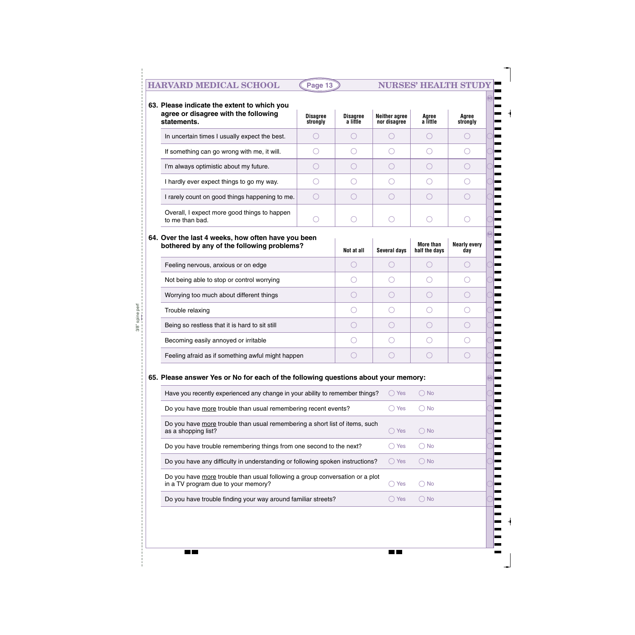# **HARVARD MEDICAL SCHOOL (Page 13) NURSES' HEALTH STUDY**

|                                                                                                                     |                             |                             |                                      |                            |                   | 63)  |
|---------------------------------------------------------------------------------------------------------------------|-----------------------------|-----------------------------|--------------------------------------|----------------------------|-------------------|------|
| 63. Please indicate the extent to which you<br>agree or disagree with the following<br>statements.                  | <b>Disagree</b><br>strongly | <b>Disagree</b><br>a little | <b>Neither agree</b><br>nor disagree | Agree<br>a little          | Agree<br>strongly |      |
| In uncertain times I usually expect the best.                                                                       | $($ )                       | $($ )                       | $( \ )$                              | $( \ )$                    | $($ )             |      |
| If something can go wrong with me, it will.                                                                         |                             | $($ )                       | $(\quad)$                            | $(\quad)$                  | $(\quad)$         |      |
| I'm always optimistic about my future.                                                                              | $($ )                       | $( \ )$                     | $( \ )$                              | $(\ )$                     | $(\ )$            |      |
| I hardly ever expect things to go my way.                                                                           | $( \ )$                     | $($ )                       | $($ )                                | $(\quad)$                  | $(\quad)$         |      |
| I rarely count on good things happening to me.                                                                      | $($ )                       | $( \ )$                     | $( \ )$                              | $( \ )$                    | $(\ )$            |      |
| Overall, I expect more good things to happen<br>to me than bad.                                                     |                             |                             | $($ )                                | $(\quad)$                  | $(\quad)$         |      |
| 64. Over the last 4 weeks, how often have you been<br>bothered by any of the following problems?                    | Not at all                  | <b>Several days</b>         | <b>More than</b><br>half the days    | <b>Nearly every</b><br>day | (64)              |      |
| Feeling nervous, anxious or on edge                                                                                 |                             | $($ )                       | $( \ )$                              | $( \ )$                    | $( \ )$           |      |
| Not being able to stop or control worrying                                                                          |                             | $(\quad)$                   | $($ )                                | $($ )                      | $(\quad)$         |      |
| Worrying too much about different things                                                                            |                             | $($ )                       | $($ )                                | $( \ )$                    | $( \ )$           |      |
| Trouble relaxing                                                                                                    |                             | $($ )                       | $($ )                                | $($ )                      | $(\quad)$         |      |
| Being so restless that it is hard to sit still                                                                      |                             | $($ )                       | $($ )                                | $($ )                      | $( \ )$           |      |
| Becoming easily annoyed or irritable                                                                                |                             | $( \ )$                     | $( \ )$                              | $( \ )$                    | $(\ )$            |      |
| Feeling afraid as if something awful might happen                                                                   |                             | $($ )                       | $( \ )$                              | $( \ )$                    | $(\ )$            |      |
| 65. Please answer Yes or No for each of the following questions about your memory:                                  |                             |                             |                                      |                            |                   | (65) |
| Have you recently experienced any change in your ability to remember things?                                        |                             |                             | $\bigcirc$ Yes                       | $\bigcirc$ No              |                   |      |
| Do you have more trouble than usual remembering recent events?                                                      | ◯ Yes                       | $\bigcirc$ No               |                                      |                            |                   |      |
| Do you have more trouble than usual remembering a short list of items, such<br>as a shopping list?                  |                             | $\bigcirc$ Yes              | $\bigcirc$ No                        |                            |                   |      |
| Do you have trouble remembering things from one second to the next?                                                 |                             | $\bigcirc$ Yes              | $\bigcirc$ No                        |                            |                   |      |
| Do you have any difficulty in understanding or following spoken instructions?                                       |                             |                             | $\bigcirc$ Yes                       | $\bigcirc$ No              |                   |      |
| Do you have more trouble than usual following a group conversation or a plot<br>in a TV program due to your memory? |                             |                             | $\bigcirc$ Yes                       | $\bigcirc$ No              |                   |      |
| Do you have trouble finding your way around familiar streets?                                                       |                             |                             | $\bigcirc$ Yes                       | $\bigcirc$ No              |                   |      |

 $\blacksquare$ 

 $3/8$ " spine perf 3/8" spine perf

**The Co**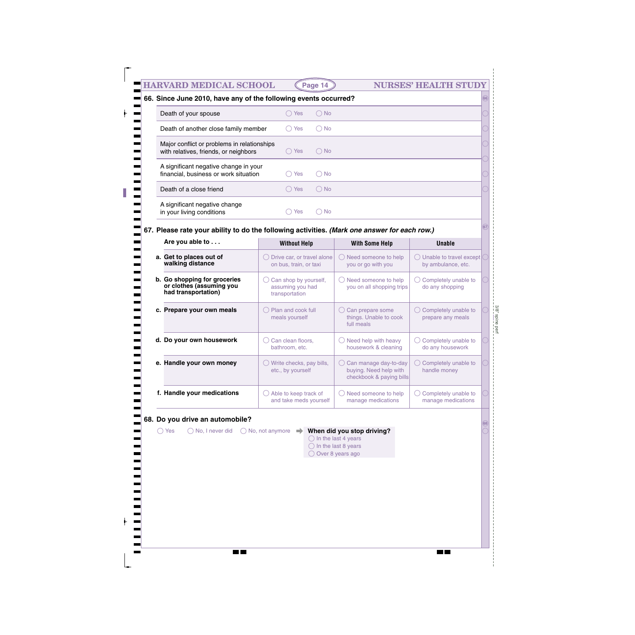## **HARVARD MEDICAL SCHOOL (Page 14) MURSES' HEALTH STUDY**

| 66. Since June 2010, have any of the following events occurred?                      |            |               |  |  |  |  |  |
|--------------------------------------------------------------------------------------|------------|---------------|--|--|--|--|--|
| Death of your spouse                                                                 | <b>Yes</b> | <b>No</b>     |  |  |  |  |  |
| Death of another close family member                                                 | Yes<br>(   | <b>No</b>     |  |  |  |  |  |
| Major conflict or problems in relationships<br>with relatives, friends, or neighbors | <b>Yes</b> | 〔 )No         |  |  |  |  |  |
| A significant negative change in your<br>financial, business or work situation       | <b>Yes</b> | <b>No</b>     |  |  |  |  |  |
| Death of a close friend                                                              | <b>Yes</b> | $\bigcirc$ No |  |  |  |  |  |
| A significant negative change<br>in your living conditions                           | Yes        | No.           |  |  |  |  |  |

**67. Please rate your ability to do the following activities.** *(Mark one answer for each row.)* **<sup>67</sup>**

| Are you able to                                                                 | <b>Without Help</b>                                         | <b>With Some Help</b>                                                       | <b>Unable</b>                                            |   |
|---------------------------------------------------------------------------------|-------------------------------------------------------------|-----------------------------------------------------------------------------|----------------------------------------------------------|---|
| a. Get to places out of<br>walking distance                                     | Drive car, or travel alone<br>on bus, train, or taxi        | Need someone to help<br>you or go with you                                  | Unable to travel except $\bigcirc$<br>by ambulance, etc. |   |
| b. Go shopping for groceries<br>or clothes (assuming you<br>had transportation) | Can shop by yourself,<br>assuming you had<br>transportation | Need someone to help<br>you on all shopping trips                           | Completely unable to<br>do any shopping                  | C |
| c. Prepare your own meals                                                       | Plan and cook full<br>meals yourself                        | Can prepare some<br>things. Unable to cook<br>full meals                    | Completely unable to<br>prepare any meals                | U |
| d. Do your own housework                                                        | Can clean floors,<br>bathroom, etc.                         | Need help with heavy<br>housework & cleaning                                | Completely unable to<br>do any housework                 |   |
| e. Handle your own money                                                        | Write checks, pay bills,<br>etc., by yourself               | Can manage day-to-day<br>buying. Need help with<br>checkbook & paying bills | Completely unable to<br>handle money                     |   |
| f. Handle your medications                                                      | Able to keep track of<br>and take meds yourself             | Need someone to help<br>manage medications                                  | Completely unable to<br>manage medications               |   |

### **68. Do you drive an automobile?**

Yes

No, I never did  $\bigcirc$  No, not anymore  $\Rightarrow$  **When did you stop driving?** 

- In the last 4 years
- In the last 8 years
- Over 8 years ago

**68**

m m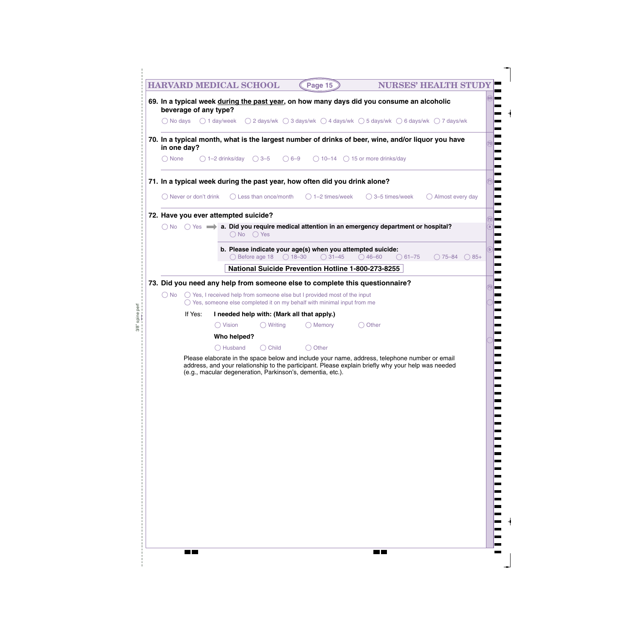| <b>HARVARD MEDICAL SCHOOL</b><br><b>NURSES' HEALTH STUD</b><br>Page 15                                                                                                                                                                                            |  |
|-------------------------------------------------------------------------------------------------------------------------------------------------------------------------------------------------------------------------------------------------------------------|--|
| 69. In a typical week during the past year, on how many days did you consume an alcoholic<br>beverage of any type?                                                                                                                                                |  |
| $\bigcirc$ 1 day/week $\bigcirc$ 2 days/wk $\bigcirc$ 3 days/wk $\bigcirc$ 4 days/wk $\bigcirc$ 5 days/wk $\bigcirc$ 6 days/wk $\bigcirc$ 7 days/wk<br>$\bigcirc$ No days                                                                                         |  |
| 70. In a typical month, what is the largest number of drinks of beer, wine, and/or liquor you have<br>in one day?                                                                                                                                                 |  |
| ◯ None<br>$\bigcirc$ 1-2 drinks/day $\bigcirc$ 3-5<br>$\bigcirc$ 6-9<br>$\bigcirc$ 10–14 $\bigcirc$ 15 or more drinks/day                                                                                                                                         |  |
| 71. In a typical week during the past year, how often did you drink alone?                                                                                                                                                                                        |  |
| $\bigcirc$ Never or don't drink<br>$\bigcirc$ 1-2 times/week<br>$\bigcirc$ 3-5 times/week<br>$\bigcirc$ Less than once/month<br>Almost every day                                                                                                                  |  |
| 72. Have you ever attempted suicide?                                                                                                                                                                                                                              |  |
| $\bigcirc$ No $\bigcirc$ Yes $\longrightarrow$ a. Did you require medical attention in an emergency department or hospital?<br>$\bigcirc$ No $\bigcirc$ Yes                                                                                                       |  |
| b. Please indicate your age(s) when you attempted suicide:                                                                                                                                                                                                        |  |
| $31 - 45$<br>$\bigcirc$ Before age 18<br>$\bigcirc$ 18-30<br>$46 - 60$<br>$\bigcirc$ 61–75<br>$\bigcirc$ 75–84 $\bigcirc$ 85+                                                                                                                                     |  |
| National Suicide Prevention Hotline 1-800-273-8255                                                                                                                                                                                                                |  |
| 73. Did you need any help from someone else to complete this questionnaire?                                                                                                                                                                                       |  |
| $\bigcirc$ No $\bigcirc$ Yes, I received help from someone else but I provided most of the input<br>$\bigcirc$ Yes, someone else completed it on my behalf with minimal input from me                                                                             |  |
| If Yes:<br>I needed help with: (Mark all that apply.)                                                                                                                                                                                                             |  |
| $\bigcirc$ Vision<br>$\bigcirc$ Writing<br>Other<br>$\bigcirc$ Memory                                                                                                                                                                                             |  |
| Who helped?                                                                                                                                                                                                                                                       |  |
| ◯ Husband<br>$\bigcirc$ Child<br>Other                                                                                                                                                                                                                            |  |
| Please elaborate in the space below and include your name, address, telephone number or email<br>address, and your relationship to the participant. Please explain briefly why your help was needed<br>(e.g., macular degeneration, Parkinson's, dementia, etc.). |  |
|                                                                                                                                                                                                                                                                   |  |
|                                                                                                                                                                                                                                                                   |  |
|                                                                                                                                                                                                                                                                   |  |
|                                                                                                                                                                                                                                                                   |  |
|                                                                                                                                                                                                                                                                   |  |
|                                                                                                                                                                                                                                                                   |  |
|                                                                                                                                                                                                                                                                   |  |
|                                                                                                                                                                                                                                                                   |  |
|                                                                                                                                                                                                                                                                   |  |
|                                                                                                                                                                                                                                                                   |  |
|                                                                                                                                                                                                                                                                   |  |
|                                                                                                                                                                                                                                                                   |  |

3/8" spine perf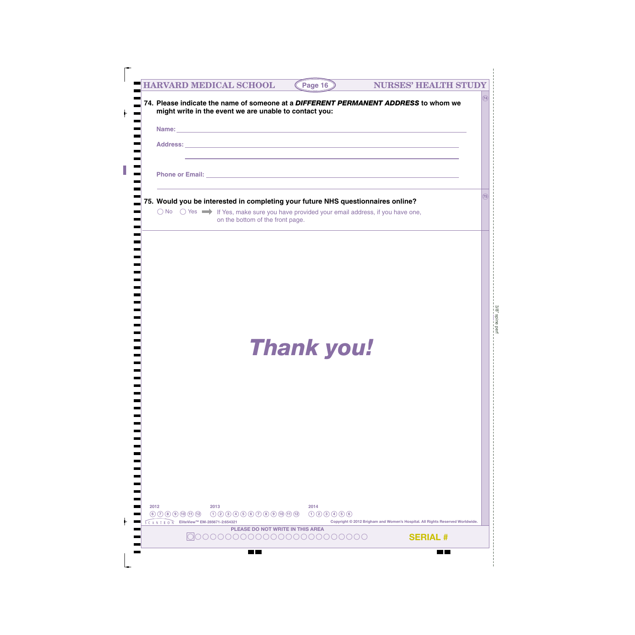| might write in the event we are unable to contact you:                                                                                                                                                      |  |                                  |                   |  |      |
|-------------------------------------------------------------------------------------------------------------------------------------------------------------------------------------------------------------|--|----------------------------------|-------------------|--|------|
|                                                                                                                                                                                                             |  |                                  |                   |  |      |
|                                                                                                                                                                                                             |  |                                  |                   |  |      |
| 75. Would you be interested in completing your future NHS questionnaires online?<br>$\bigcirc$ No $\bigcirc$ Yes $\longrightarrow$ If Yes, make sure you have provided your email address, if you have one, |  | on the bottom of the front page. |                   |  | (75) |
|                                                                                                                                                                                                             |  |                                  | <b>Thank you!</b> |  |      |
|                                                                                                                                                                                                             |  |                                  |                   |  |      |

 $\frac{1}{1}$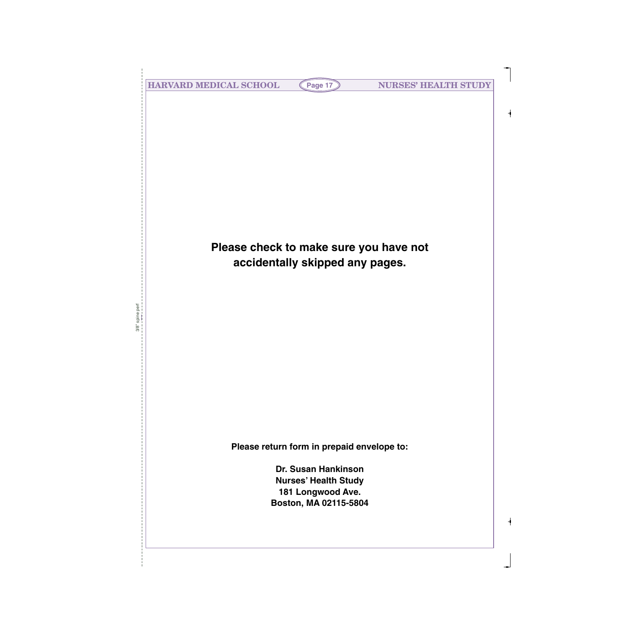|                 | <b>HARVARD MEDICAL SCHOOL</b><br><b>NURSES' HEALTH STUDY</b><br>Page 17   |  |
|-----------------|---------------------------------------------------------------------------|--|
| 3/8" spine perf | Please check to make sure you have not<br>accidentally skipped any pages. |  |
|                 | Please return form in prepaid envelope to:                                |  |
|                 | Dr. Susan Hankinson                                                       |  |
|                 | <b>Nurses' Health Study</b><br>181 Longwood Ave.                          |  |
|                 | Boston, MA 02115-5804                                                     |  |
|                 |                                                                           |  |